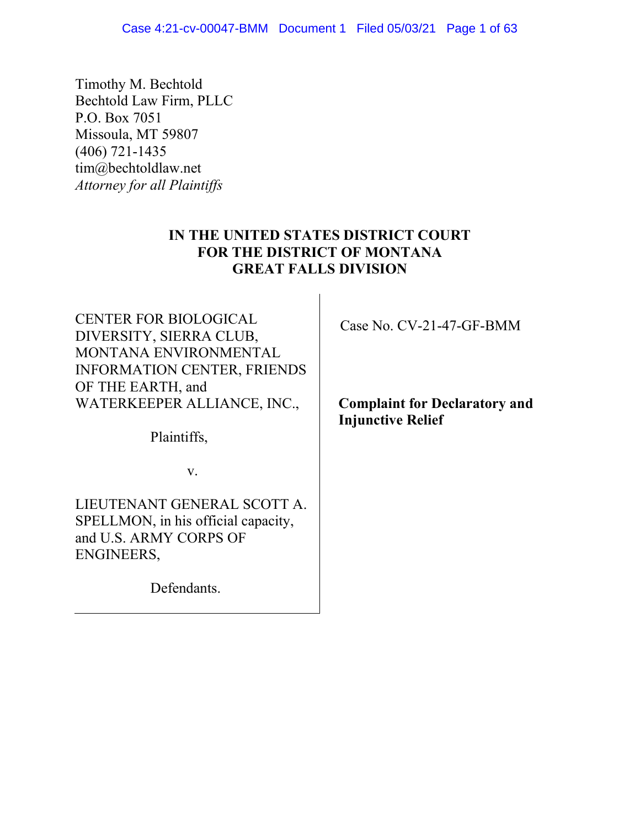Timothy M. Bechtold Bechtold Law Firm, PLLC P.O. Box 7051 Missoula, MT 59807 (406) 721-1435 tim@bechtoldlaw.net *Attorney for all Plaintiffs*

# **IN THE UNITED STATES DISTRICT COURT FOR THE DISTRICT OF MONTANA GREAT FALLS DIVISION**

CENTER FOR BIOLOGICAL DIVERSITY, SIERRA CLUB, MONTANA ENVIRONMENTAL INFORMATION CENTER, FRIENDS OF THE EARTH, and WATERKEEPER ALLIANCE, INC.,

Plaintiffs,

v.

LIEUTENANT GENERAL SCOTT A. SPELLMON, in his official capacity, and U.S. ARMY CORPS OF ENGINEERS,

Defendants.

Case No. CV-21-47-GF-BMM

**Complaint for Declaratory and Injunctive Relief**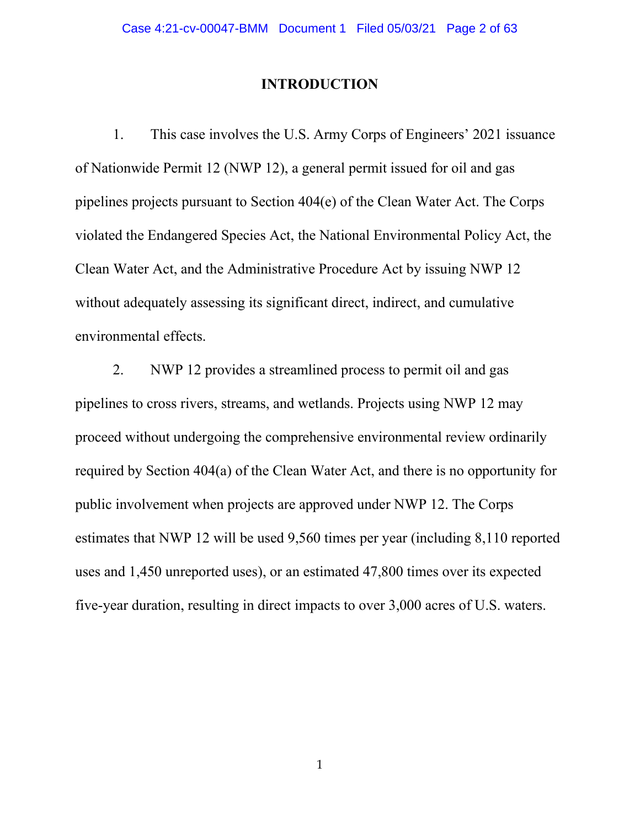### **INTRODUCTION**

1. This case involves the U.S. Army Corps of Engineers' 2021 issuance of Nationwide Permit 12 (NWP 12), a general permit issued for oil and gas pipelines projects pursuant to Section 404(e) of the Clean Water Act. The Corps violated the Endangered Species Act, the National Environmental Policy Act, the Clean Water Act, and the Administrative Procedure Act by issuing NWP 12 without adequately assessing its significant direct, indirect, and cumulative environmental effects.

2. NWP 12 provides a streamlined process to permit oil and gas pipelines to cross rivers, streams, and wetlands. Projects using NWP 12 may proceed without undergoing the comprehensive environmental review ordinarily required by Section 404(a) of the Clean Water Act, and there is no opportunity for public involvement when projects are approved under NWP 12. The Corps estimates that NWP 12 will be used 9,560 times per year (including 8,110 reported uses and 1,450 unreported uses), or an estimated 47,800 times over its expected five-year duration, resulting in direct impacts to over 3,000 acres of U.S. waters.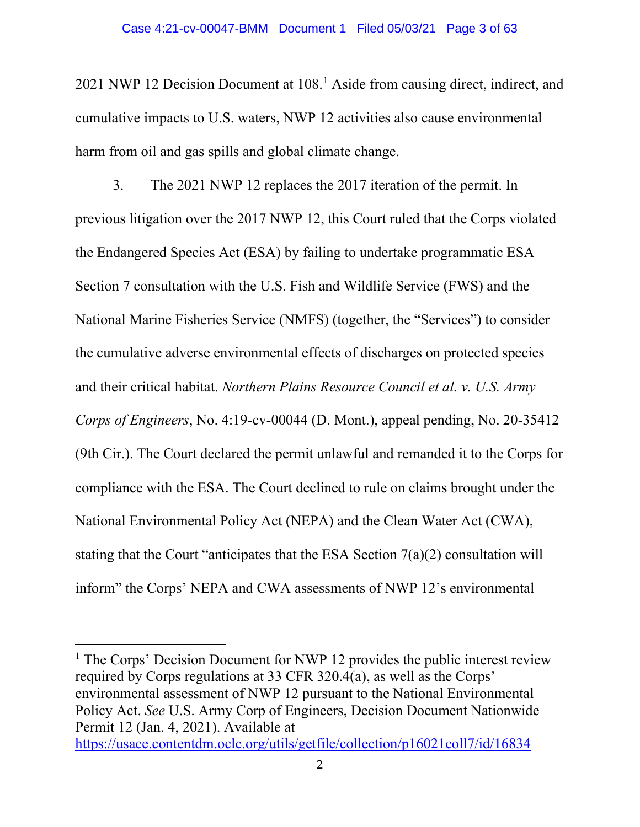#### Case 4:21-cv-00047-BMM Document 1 Filed 05/03/21 Page 3 of 63

2021 NWP 12 Decision Document at 108.<sup>1</sup> Aside from causing direct, indirect, and cumulative impacts to U.S. waters, NWP 12 activities also cause environmental harm from oil and gas spills and global climate change.

3. The 2021 NWP 12 replaces the 2017 iteration of the permit. In previous litigation over the 2017 NWP 12, this Court ruled that the Corps violated the Endangered Species Act (ESA) by failing to undertake programmatic ESA Section 7 consultation with the U.S. Fish and Wildlife Service (FWS) and the National Marine Fisheries Service (NMFS) (together, the "Services") to consider the cumulative adverse environmental effects of discharges on protected species and their critical habitat. *Northern Plains Resource Council et al. v. U.S. Army Corps of Engineers*, No. 4:19-cv-00044 (D. Mont.), appeal pending, No. 20-35412 (9th Cir.). The Court declared the permit unlawful and remanded it to the Corps for compliance with the ESA. The Court declined to rule on claims brought under the National Environmental Policy Act (NEPA) and the Clean Water Act (CWA), stating that the Court "anticipates that the ESA Section 7(a)(2) consultation will inform" the Corps' NEPA and CWA assessments of NWP 12's environmental

<sup>1</sup> The Corps' Decision Document for NWP 12 provides the public interest review required by Corps regulations at 33 CFR 320.4(a), as well as the Corps' environmental assessment of NWP 12 pursuant to the National Environmental Policy Act. *See* U.S. Army Corp of Engineers, Decision Document Nationwide Permit 12 (Jan. 4, 2021). Available at

https://usace.contentdm.oclc.org/utils/getfile/collection/p16021coll7/id/16834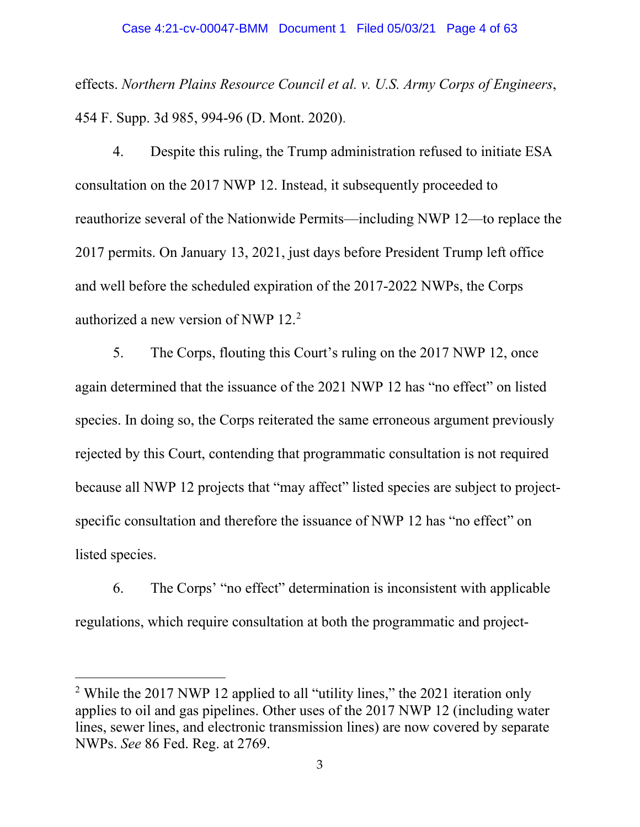effects. *Northern Plains Resource Council et al. v. U.S. Army Corps of Engineers*, 454 F. Supp. 3d 985, 994-96 (D. Mont. 2020).

4. Despite this ruling, the Trump administration refused to initiate ESA consultation on the 2017 NWP 12. Instead, it subsequently proceeded to reauthorize several of the Nationwide Permits—including NWP 12—to replace the 2017 permits. On January 13, 2021, just days before President Trump left office and well before the scheduled expiration of the 2017-2022 NWPs, the Corps authorized a new version of NWP 12.<sup>2</sup>

5. The Corps, flouting this Court's ruling on the 2017 NWP 12, once again determined that the issuance of the 2021 NWP 12 has "no effect" on listed species. In doing so, the Corps reiterated the same erroneous argument previously rejected by this Court, contending that programmatic consultation is not required because all NWP 12 projects that "may affect" listed species are subject to projectspecific consultation and therefore the issuance of NWP 12 has "no effect" on listed species.

6. The Corps' "no effect" determination is inconsistent with applicable regulations, which require consultation at both the programmatic and project-

<sup>&</sup>lt;sup>2</sup> While the 2017 NWP 12 applied to all "utility lines," the 2021 iteration only applies to oil and gas pipelines. Other uses of the 2017 NWP 12 (including water lines, sewer lines, and electronic transmission lines) are now covered by separate NWPs. *See* 86 Fed. Reg. at 2769.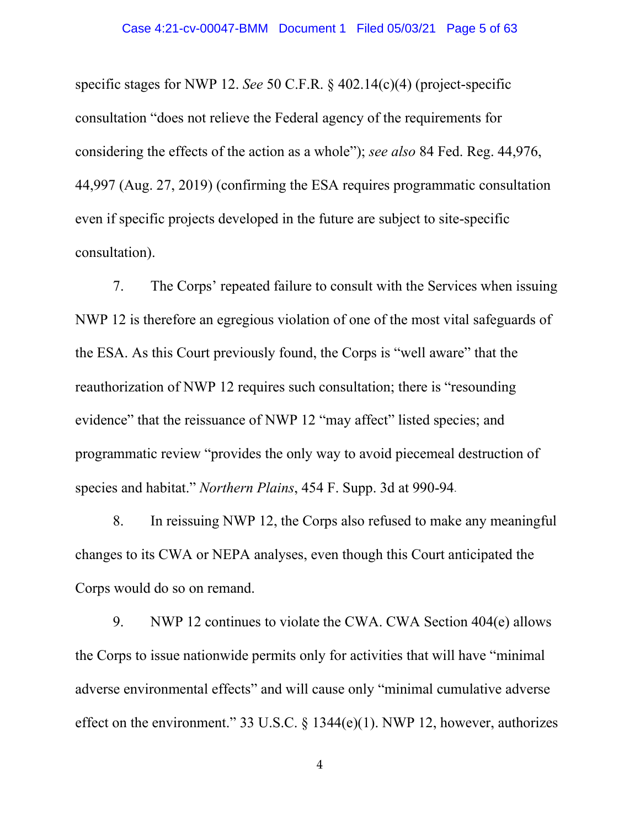specific stages for NWP 12. *See* 50 C.F.R. § 402.14(c)(4) (project-specific consultation "does not relieve the Federal agency of the requirements for considering the effects of the action as a whole"); *see also* 84 Fed. Reg. 44,976, 44,997 (Aug. 27, 2019) (confirming the ESA requires programmatic consultation even if specific projects developed in the future are subject to site-specific consultation).

7. The Corps' repeated failure to consult with the Services when issuing NWP 12 is therefore an egregious violation of one of the most vital safeguards of the ESA. As this Court previously found, the Corps is "well aware" that the reauthorization of NWP 12 requires such consultation; there is "resounding evidence" that the reissuance of NWP 12 "may affect" listed species; and programmatic review "provides the only way to avoid piecemeal destruction of species and habitat." *Northern Plains*, 454 F. Supp. 3d at 990-94.

8. In reissuing NWP 12, the Corps also refused to make any meaningful changes to its CWA or NEPA analyses, even though this Court anticipated the Corps would do so on remand.

9. NWP 12 continues to violate the CWA. CWA Section 404(e) allows the Corps to issue nationwide permits only for activities that will have "minimal adverse environmental effects" and will cause only "minimal cumulative adverse effect on the environment." 33 U.S.C. § 1344(e)(1). NWP 12, however, authorizes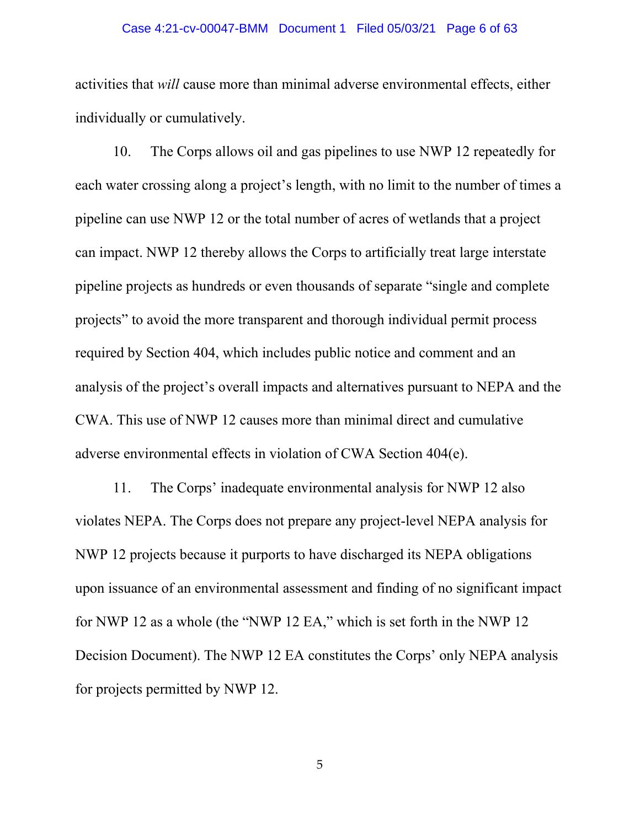#### Case 4:21-cv-00047-BMM Document 1 Filed 05/03/21 Page 6 of 63

activities that *will* cause more than minimal adverse environmental effects, either individually or cumulatively.

10. The Corps allows oil and gas pipelines to use NWP 12 repeatedly for each water crossing along a project's length, with no limit to the number of times a pipeline can use NWP 12 or the total number of acres of wetlands that a project can impact. NWP 12 thereby allows the Corps to artificially treat large interstate pipeline projects as hundreds or even thousands of separate "single and complete projects" to avoid the more transparent and thorough individual permit process required by Section 404, which includes public notice and comment and an analysis of the project's overall impacts and alternatives pursuant to NEPA and the CWA. This use of NWP 12 causes more than minimal direct and cumulative adverse environmental effects in violation of CWA Section 404(e).

11. The Corps' inadequate environmental analysis for NWP 12 also violates NEPA. The Corps does not prepare any project-level NEPA analysis for NWP 12 projects because it purports to have discharged its NEPA obligations upon issuance of an environmental assessment and finding of no significant impact for NWP 12 as a whole (the "NWP 12 EA," which is set forth in the NWP 12 Decision Document). The NWP 12 EA constitutes the Corps' only NEPA analysis for projects permitted by NWP 12.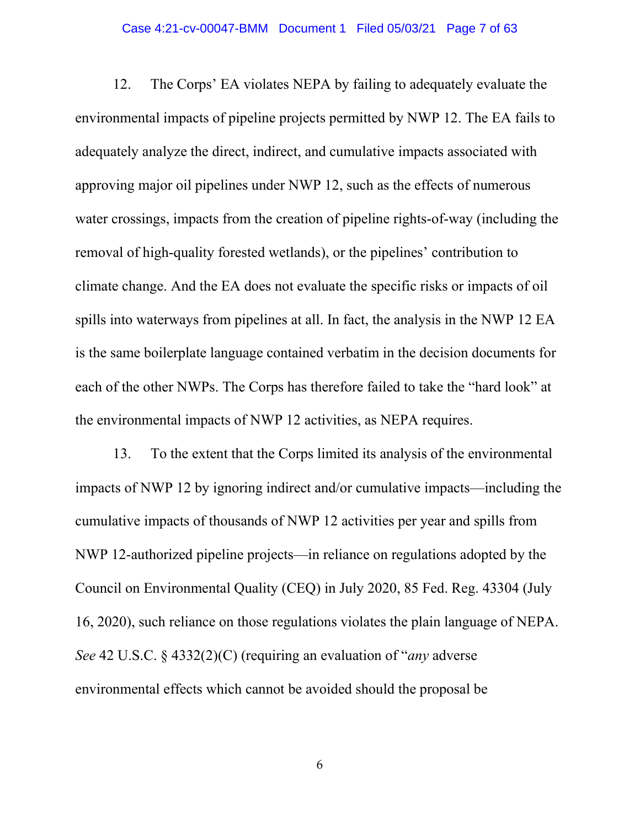#### Case 4:21-cv-00047-BMM Document 1 Filed 05/03/21 Page 7 of 63

12. The Corps' EA violates NEPA by failing to adequately evaluate the environmental impacts of pipeline projects permitted by NWP 12. The EA fails to adequately analyze the direct, indirect, and cumulative impacts associated with approving major oil pipelines under NWP 12, such as the effects of numerous water crossings, impacts from the creation of pipeline rights-of-way (including the removal of high-quality forested wetlands), or the pipelines' contribution to climate change. And the EA does not evaluate the specific risks or impacts of oil spills into waterways from pipelines at all. In fact, the analysis in the NWP 12 EA is the same boilerplate language contained verbatim in the decision documents for each of the other NWPs. The Corps has therefore failed to take the "hard look" at the environmental impacts of NWP 12 activities, as NEPA requires.

13. To the extent that the Corps limited its analysis of the environmental impacts of NWP 12 by ignoring indirect and/or cumulative impacts—including the cumulative impacts of thousands of NWP 12 activities per year and spills from NWP 12-authorized pipeline projects—in reliance on regulations adopted by the Council on Environmental Quality (CEQ) in July 2020, 85 Fed. Reg. 43304 (July 16, 2020), such reliance on those regulations violates the plain language of NEPA. *See* 42 U.S.C. § 4332(2)(C) (requiring an evaluation of "*any* adverse environmental effects which cannot be avoided should the proposal be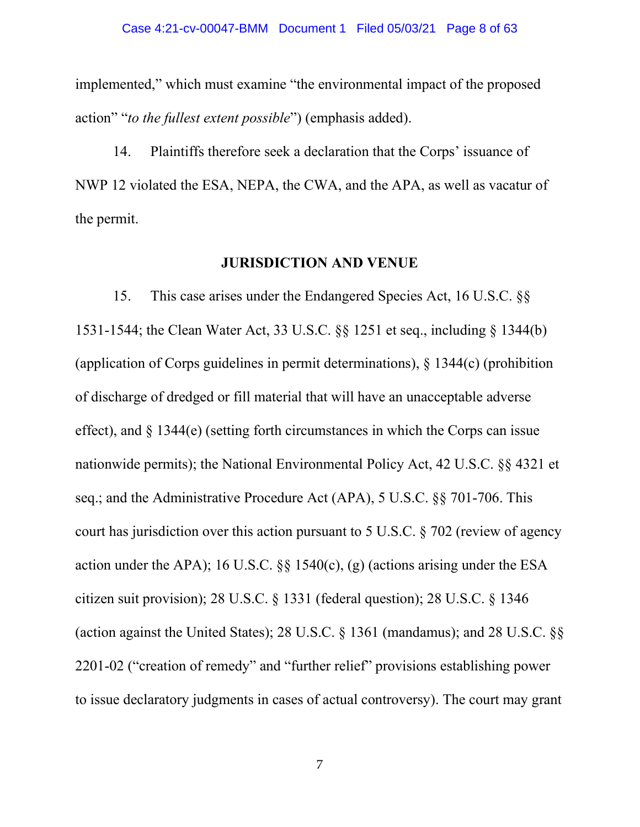implemented," which must examine "the environmental impact of the proposed action" "*to the fullest extent possible*") (emphasis added).

14. Plaintiffs therefore seek a declaration that the Corps' issuance of NWP 12 violated the ESA, NEPA, the CWA, and the APA, as well as vacatur of the permit.

### **JURISDICTION AND VENUE**

15. This case arises under the Endangered Species Act, 16 U.S.C. §§ 1531-1544; the Clean Water Act, 33 U.S.C. §§ 1251 et seq., including § 1344(b) (application of Corps guidelines in permit determinations), § 1344(c) (prohibition of discharge of dredged or fill material that will have an unacceptable adverse effect), and  $\S$  1344(e) (setting forth circumstances in which the Corps can issue nationwide permits); the National Environmental Policy Act, 42 U.S.C. §§ 4321 et seq.; and the Administrative Procedure Act (APA), 5 U.S.C. §§ 701-706. This court has jurisdiction over this action pursuant to 5 U.S.C. § 702 (review of agency action under the APA); 16 U.S.C.  $\S$ § 1540(c), (g) (actions arising under the ESA citizen suit provision); 28 U.S.C. § 1331 (federal question); 28 U.S.C. § 1346 (action against the United States); 28 U.S.C. § 1361 (mandamus); and 28 U.S.C. §§ 2201-02 ("creation of remedy" and "further relief" provisions establishing power to issue declaratory judgments in cases of actual controversy). The court may grant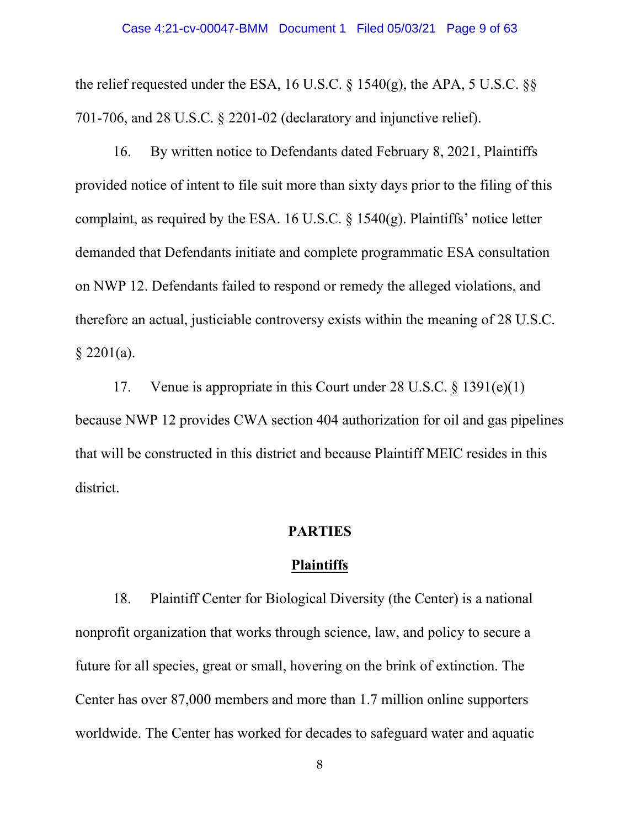the relief requested under the ESA, 16 U.S.C.  $\S$  1540(g), the APA, 5 U.S.C.  $\S$ 701-706, and 28 U.S.C. § 2201-02 (declaratory and injunctive relief).

16. By written notice to Defendants dated February 8, 2021, Plaintiffs provided notice of intent to file suit more than sixty days prior to the filing of this complaint, as required by the ESA. 16 U.S.C.  $\S$  1540(g). Plaintiffs' notice letter demanded that Defendants initiate and complete programmatic ESA consultation on NWP 12. Defendants failed to respond or remedy the alleged violations, and therefore an actual, justiciable controversy exists within the meaning of 28 U.S.C.  $§$  2201(a).

17. Venue is appropriate in this Court under 28 U.S.C. § 1391(e)(1) because NWP 12 provides CWA section 404 authorization for oil and gas pipelines that will be constructed in this district and because Plaintiff MEIC resides in this district.

## **PARTIES**

#### **Plaintiffs**

18. Plaintiff Center for Biological Diversity (the Center) is a national nonprofit organization that works through science, law, and policy to secure a future for all species, great or small, hovering on the brink of extinction. The Center has over 87,000 members and more than 1.7 million online supporters worldwide. The Center has worked for decades to safeguard water and aquatic

<sup>8</sup>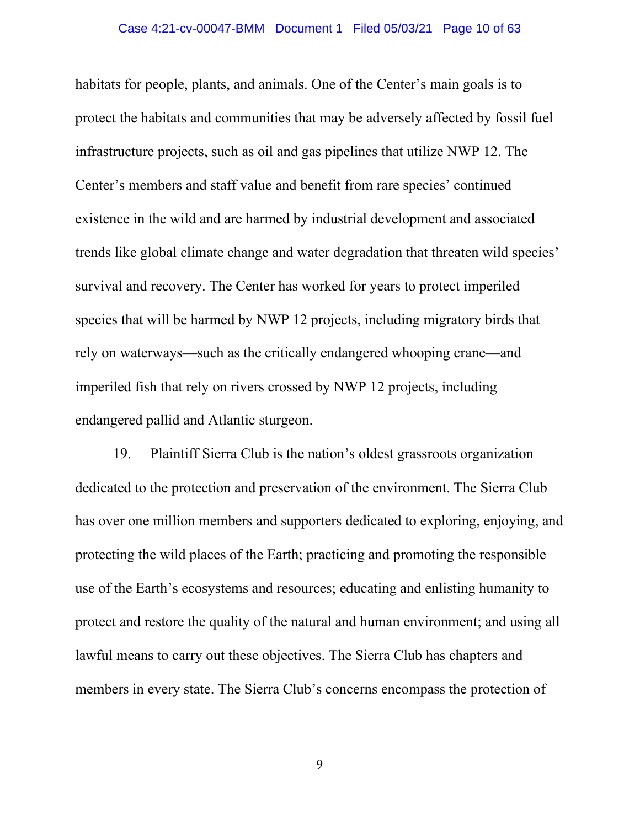#### Case 4:21-cv-00047-BMM Document 1 Filed 05/03/21 Page 10 of 63

habitats for people, plants, and animals. One of the Center's main goals is to protect the habitats and communities that may be adversely affected by fossil fuel infrastructure projects, such as oil and gas pipelines that utilize NWP 12. The Center's members and staff value and benefit from rare species' continued existence in the wild and are harmed by industrial development and associated trends like global climate change and water degradation that threaten wild species' survival and recovery. The Center has worked for years to protect imperiled species that will be harmed by NWP 12 projects, including migratory birds that rely on waterways—such as the critically endangered whooping crane—and imperiled fish that rely on rivers crossed by NWP 12 projects, including endangered pallid and Atlantic sturgeon.

19. Plaintiff Sierra Club is the nation's oldest grassroots organization dedicated to the protection and preservation of the environment. The Sierra Club has over one million members and supporters dedicated to exploring, enjoying, and protecting the wild places of the Earth; practicing and promoting the responsible use of the Earth's ecosystems and resources; educating and enlisting humanity to protect and restore the quality of the natural and human environment; and using all lawful means to carry out these objectives. The Sierra Club has chapters and members in every state. The Sierra Club's concerns encompass the protection of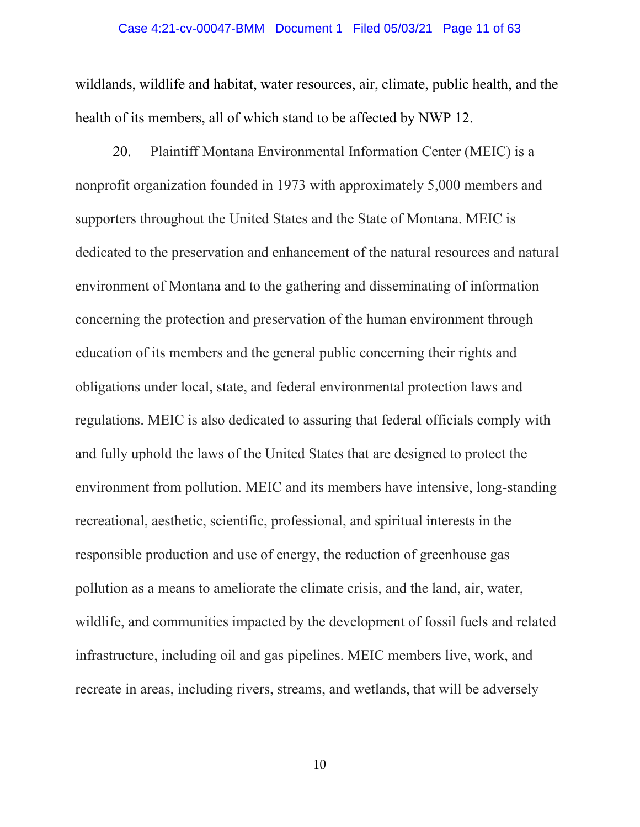#### Case 4:21-cv-00047-BMM Document 1 Filed 05/03/21 Page 11 of 63

wildlands, wildlife and habitat, water resources, air, climate, public health, and the health of its members, all of which stand to be affected by NWP 12.

20. Plaintiff Montana Environmental Information Center (MEIC) is a nonprofit organization founded in 1973 with approximately 5,000 members and supporters throughout the United States and the State of Montana. MEIC is dedicated to the preservation and enhancement of the natural resources and natural environment of Montana and to the gathering and disseminating of information concerning the protection and preservation of the human environment through education of its members and the general public concerning their rights and obligations under local, state, and federal environmental protection laws and regulations. MEIC is also dedicated to assuring that federal officials comply with and fully uphold the laws of the United States that are designed to protect the environment from pollution. MEIC and its members have intensive, long-standing recreational, aesthetic, scientific, professional, and spiritual interests in the responsible production and use of energy, the reduction of greenhouse gas pollution as a means to ameliorate the climate crisis, and the land, air, water, wildlife, and communities impacted by the development of fossil fuels and related infrastructure, including oil and gas pipelines. MEIC members live, work, and recreate in areas, including rivers, streams, and wetlands, that will be adversely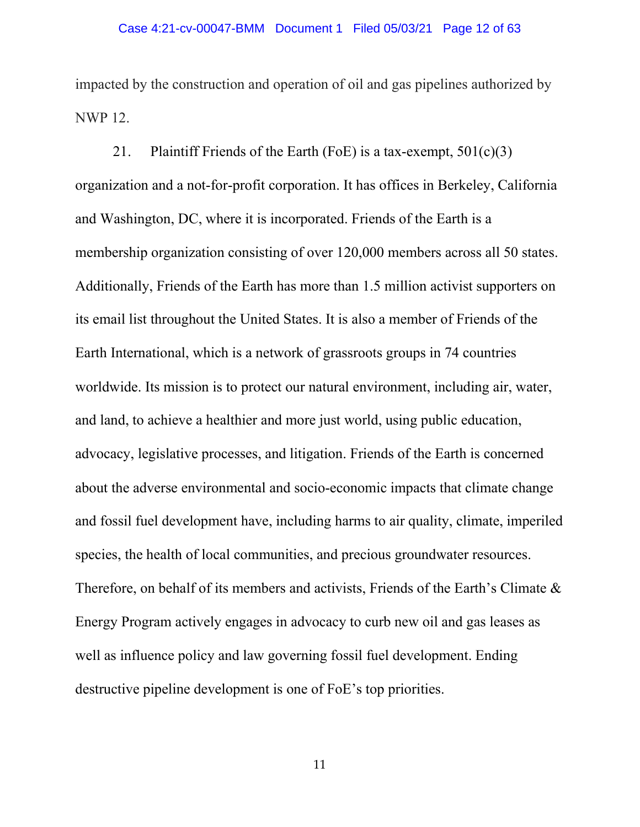impacted by the construction and operation of oil and gas pipelines authorized by NWP 12.

21. Plaintiff Friends of the Earth (FoE) is a tax-exempt,  $501(c)(3)$ organization and a not-for-profit corporation. It has offices in Berkeley, California and Washington, DC, where it is incorporated. Friends of the Earth is a membership organization consisting of over 120,000 members across all 50 states. Additionally, Friends of the Earth has more than 1.5 million activist supporters on its email list throughout the United States. It is also a member of Friends of the Earth International, which is a network of grassroots groups in 74 countries worldwide. Its mission is to protect our natural environment, including air, water, and land, to achieve a healthier and more just world, using public education, advocacy, legislative processes, and litigation. Friends of the Earth is concerned about the adverse environmental and socio-economic impacts that climate change and fossil fuel development have, including harms to air quality, climate, imperiled species, the health of local communities, and precious groundwater resources. Therefore, on behalf of its members and activists, Friends of the Earth's Climate & Energy Program actively engages in advocacy to curb new oil and gas leases as well as influence policy and law governing fossil fuel development. Ending destructive pipeline development is one of FoE's top priorities.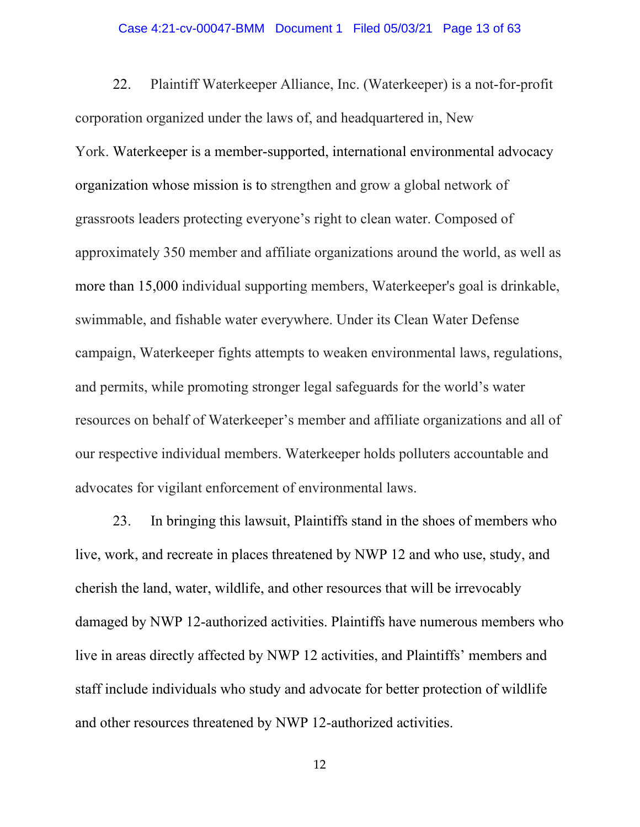#### Case 4:21-cv-00047-BMM Document 1 Filed 05/03/21 Page 13 of 63

22. Plaintiff Waterkeeper Alliance, Inc. (Waterkeeper) is a not-for-profit corporation organized under the laws of, and headquartered in, New York. Waterkeeper is a member-supported, international environmental advocacy organization whose mission is to strengthen and grow a global network of grassroots leaders protecting everyone's right to clean water. Composed of approximately 350 member and affiliate organizations around the world, as well as more than 15,000 individual supporting members, Waterkeeper's goal is drinkable, swimmable, and fishable water everywhere. Under its Clean Water Defense campaign, Waterkeeper fights attempts to weaken environmental laws, regulations, and permits, while promoting stronger legal safeguards for the world's water resources on behalf of Waterkeeper's member and affiliate organizations and all of our respective individual members. Waterkeeper holds polluters accountable and advocates for vigilant enforcement of environmental laws.

23. In bringing this lawsuit, Plaintiffs stand in the shoes of members who live, work, and recreate in places threatened by NWP 12 and who use, study, and cherish the land, water, wildlife, and other resources that will be irrevocably damaged by NWP 12-authorized activities. Plaintiffs have numerous members who live in areas directly affected by NWP 12 activities, and Plaintiffs' members and staff include individuals who study and advocate for better protection of wildlife and other resources threatened by NWP 12-authorized activities.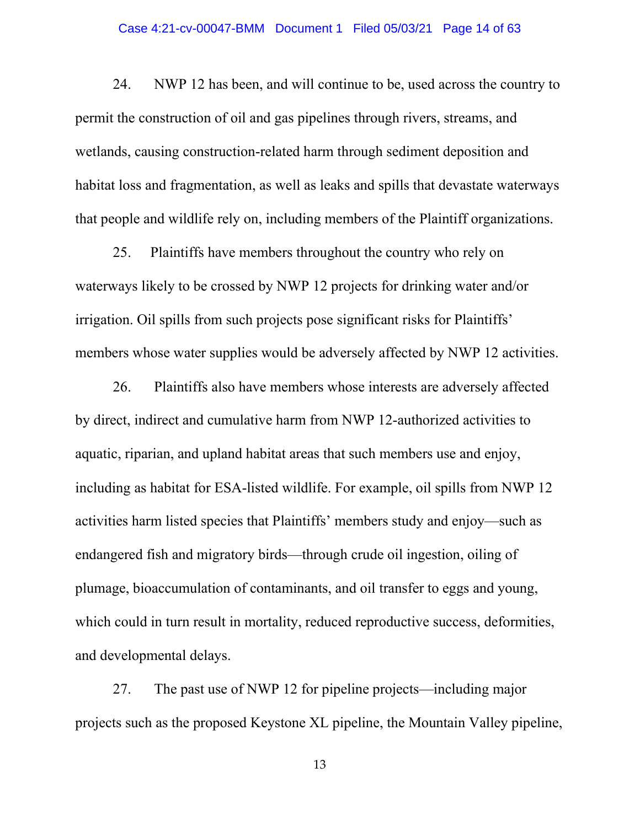#### Case 4:21-cv-00047-BMM Document 1 Filed 05/03/21 Page 14 of 63

24. NWP 12 has been, and will continue to be, used across the country to permit the construction of oil and gas pipelines through rivers, streams, and wetlands, causing construction-related harm through sediment deposition and habitat loss and fragmentation, as well as leaks and spills that devastate waterways that people and wildlife rely on, including members of the Plaintiff organizations.

25. Plaintiffs have members throughout the country who rely on waterways likely to be crossed by NWP 12 projects for drinking water and/or irrigation. Oil spills from such projects pose significant risks for Plaintiffs' members whose water supplies would be adversely affected by NWP 12 activities.

26. Plaintiffs also have members whose interests are adversely affected by direct, indirect and cumulative harm from NWP 12-authorized activities to aquatic, riparian, and upland habitat areas that such members use and enjoy, including as habitat for ESA-listed wildlife. For example, oil spills from NWP 12 activities harm listed species that Plaintiffs' members study and enjoy—such as endangered fish and migratory birds—through crude oil ingestion, oiling of plumage, bioaccumulation of contaminants, and oil transfer to eggs and young, which could in turn result in mortality, reduced reproductive success, deformities, and developmental delays.

27. The past use of NWP 12 for pipeline projects—including major projects such as the proposed Keystone XL pipeline, the Mountain Valley pipeline,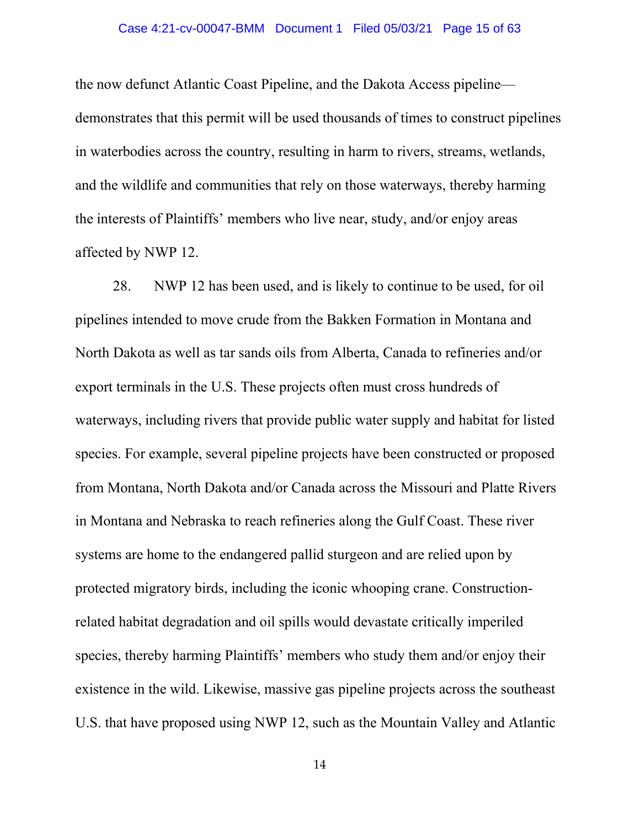#### Case 4:21-cv-00047-BMM Document 1 Filed 05/03/21 Page 15 of 63

the now defunct Atlantic Coast Pipeline, and the Dakota Access pipeline demonstrates that this permit will be used thousands of times to construct pipelines in waterbodies across the country, resulting in harm to rivers, streams, wetlands, and the wildlife and communities that rely on those waterways, thereby harming the interests of Plaintiffs' members who live near, study, and/or enjoy areas affected by NWP 12.

28. NWP 12 has been used, and is likely to continue to be used, for oil pipelines intended to move crude from the Bakken Formation in Montana and North Dakota as well as tar sands oils from Alberta, Canada to refineries and/or export terminals in the U.S. These projects often must cross hundreds of waterways, including rivers that provide public water supply and habitat for listed species. For example, several pipeline projects have been constructed or proposed from Montana, North Dakota and/or Canada across the Missouri and Platte Rivers in Montana and Nebraska to reach refineries along the Gulf Coast. These river systems are home to the endangered pallid sturgeon and are relied upon by protected migratory birds, including the iconic whooping crane. Constructionrelated habitat degradation and oil spills would devastate critically imperiled species, thereby harming Plaintiffs' members who study them and/or enjoy their existence in the wild. Likewise, massive gas pipeline projects across the southeast U.S. that have proposed using NWP 12, such as the Mountain Valley and Atlantic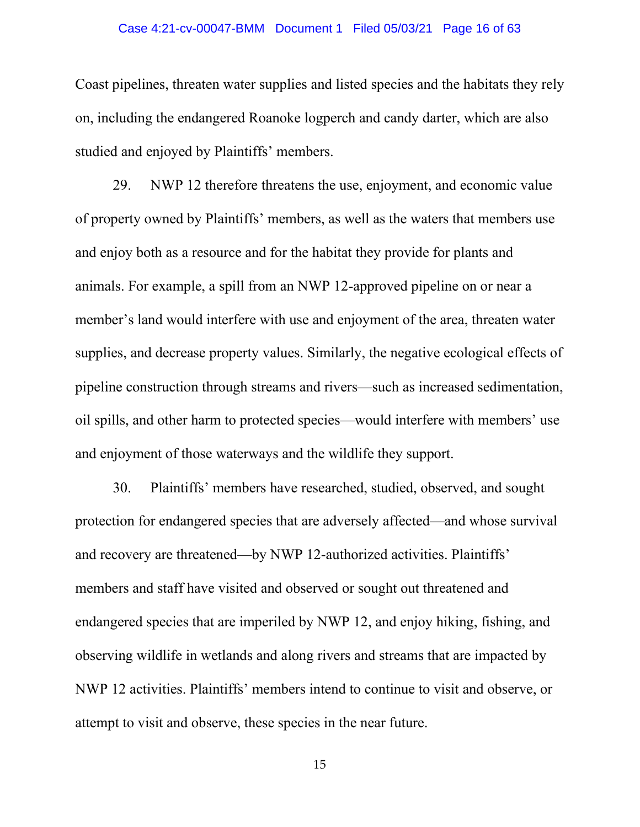#### Case 4:21-cv-00047-BMM Document 1 Filed 05/03/21 Page 16 of 63

Coast pipelines, threaten water supplies and listed species and the habitats they rely on, including the endangered Roanoke logperch and candy darter, which are also studied and enjoyed by Plaintiffs' members.

29. NWP 12 therefore threatens the use, enjoyment, and economic value of property owned by Plaintiffs' members, as well as the waters that members use and enjoy both as a resource and for the habitat they provide for plants and animals. For example, a spill from an NWP 12-approved pipeline on or near a member's land would interfere with use and enjoyment of the area, threaten water supplies, and decrease property values. Similarly, the negative ecological effects of pipeline construction through streams and rivers—such as increased sedimentation, oil spills, and other harm to protected species—would interfere with members' use and enjoyment of those waterways and the wildlife they support.

30. Plaintiffs' members have researched, studied, observed, and sought protection for endangered species that are adversely affected—and whose survival and recovery are threatened—by NWP 12-authorized activities. Plaintiffs' members and staff have visited and observed or sought out threatened and endangered species that are imperiled by NWP 12, and enjoy hiking, fishing, and observing wildlife in wetlands and along rivers and streams that are impacted by NWP 12 activities. Plaintiffs' members intend to continue to visit and observe, or attempt to visit and observe, these species in the near future.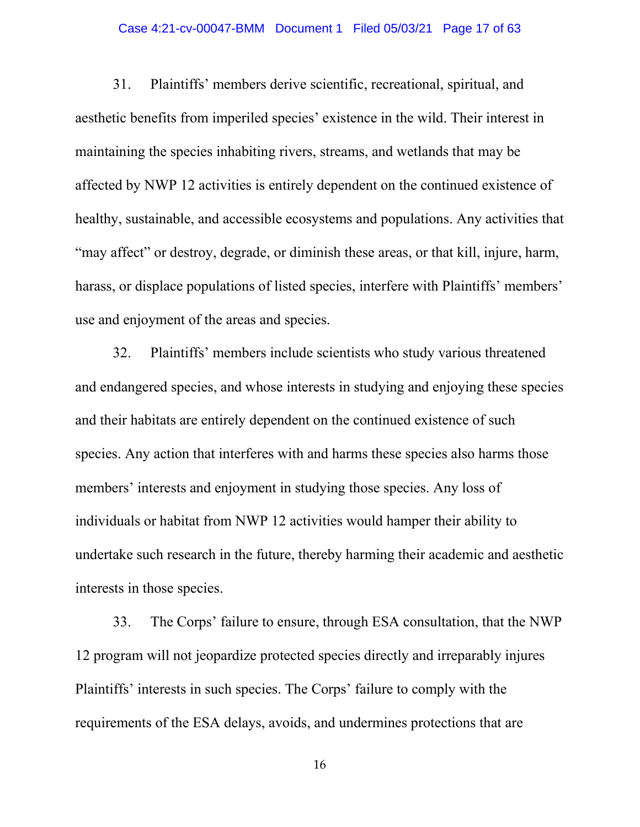#### Case 4:21-cv-00047-BMM Document 1 Filed 05/03/21 Page 17 of 63

31. Plaintiffs' members derive scientific, recreational, spiritual, and aesthetic benefits from imperiled species' existence in the wild. Their interest in maintaining the species inhabiting rivers, streams, and wetlands that may be affected by NWP 12 activities is entirely dependent on the continued existence of healthy, sustainable, and accessible ecosystems and populations. Any activities that "may affect" or destroy, degrade, or diminish these areas, or that kill, injure, harm, harass, or displace populations of listed species, interfere with Plaintiffs' members' use and enjoyment of the areas and species.

32. Plaintiffs' members include scientists who study various threatened and endangered species, and whose interests in studying and enjoying these species and their habitats are entirely dependent on the continued existence of such species. Any action that interferes with and harms these species also harms those members' interests and enjoyment in studying those species. Any loss of individuals or habitat from NWP 12 activities would hamper their ability to undertake such research in the future, thereby harming their academic and aesthetic interests in those species.

33. The Corps' failure to ensure, through ESA consultation, that the NWP 12 program will not jeopardize protected species directly and irreparably injures Plaintiffs' interests in such species. The Corps' failure to comply with the requirements of the ESA delays, avoids, and undermines protections that are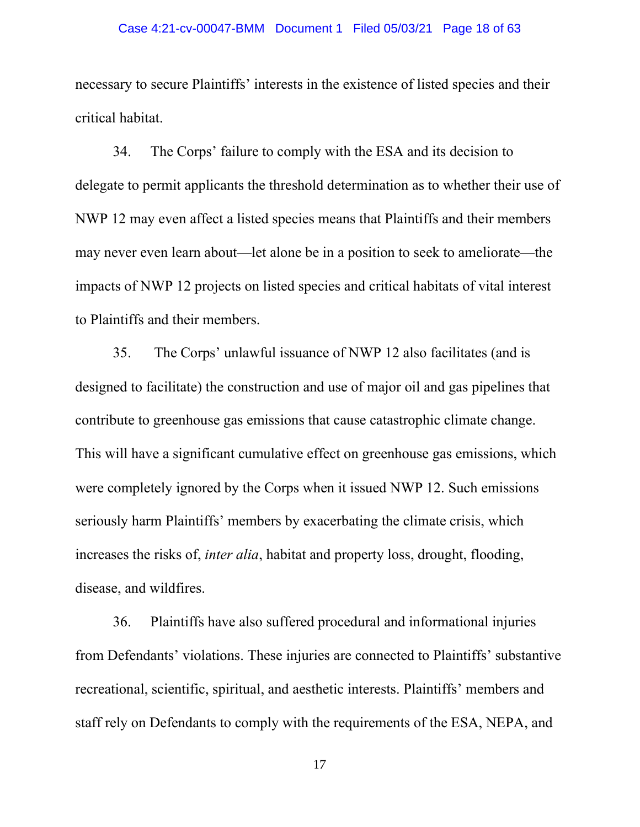#### Case 4:21-cv-00047-BMM Document 1 Filed 05/03/21 Page 18 of 63

necessary to secure Plaintiffs' interests in the existence of listed species and their critical habitat.

34. The Corps' failure to comply with the ESA and its decision to delegate to permit applicants the threshold determination as to whether their use of NWP 12 may even affect a listed species means that Plaintiffs and their members may never even learn about—let alone be in a position to seek to ameliorate—the impacts of NWP 12 projects on listed species and critical habitats of vital interest to Plaintiffs and their members.

35. The Corps' unlawful issuance of NWP 12 also facilitates (and is designed to facilitate) the construction and use of major oil and gas pipelines that contribute to greenhouse gas emissions that cause catastrophic climate change. This will have a significant cumulative effect on greenhouse gas emissions, which were completely ignored by the Corps when it issued NWP 12. Such emissions seriously harm Plaintiffs' members by exacerbating the climate crisis, which increases the risks of, *inter alia*, habitat and property loss, drought, flooding, disease, and wildfires.

36. Plaintiffs have also suffered procedural and informational injuries from Defendants' violations. These injuries are connected to Plaintiffs' substantive recreational, scientific, spiritual, and aesthetic interests. Plaintiffs' members and staff rely on Defendants to comply with the requirements of the ESA, NEPA, and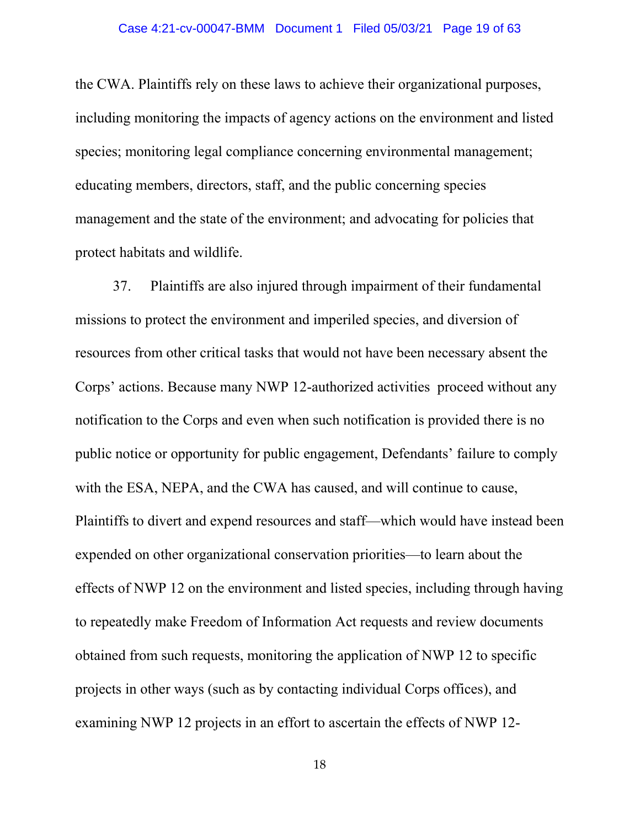the CWA. Plaintiffs rely on these laws to achieve their organizational purposes, including monitoring the impacts of agency actions on the environment and listed species; monitoring legal compliance concerning environmental management; educating members, directors, staff, and the public concerning species management and the state of the environment; and advocating for policies that protect habitats and wildlife.

37. Plaintiffs are also injured through impairment of their fundamental missions to protect the environment and imperiled species, and diversion of resources from other critical tasks that would not have been necessary absent the Corps' actions. Because many NWP 12-authorized activities proceed without any notification to the Corps and even when such notification is provided there is no public notice or opportunity for public engagement, Defendants' failure to comply with the ESA, NEPA, and the CWA has caused, and will continue to cause, Plaintiffs to divert and expend resources and staff—which would have instead been expended on other organizational conservation priorities—to learn about the effects of NWP 12 on the environment and listed species, including through having to repeatedly make Freedom of Information Act requests and review documents obtained from such requests, monitoring the application of NWP 12 to specific projects in other ways (such as by contacting individual Corps offices), and examining NWP 12 projects in an effort to ascertain the effects of NWP 12-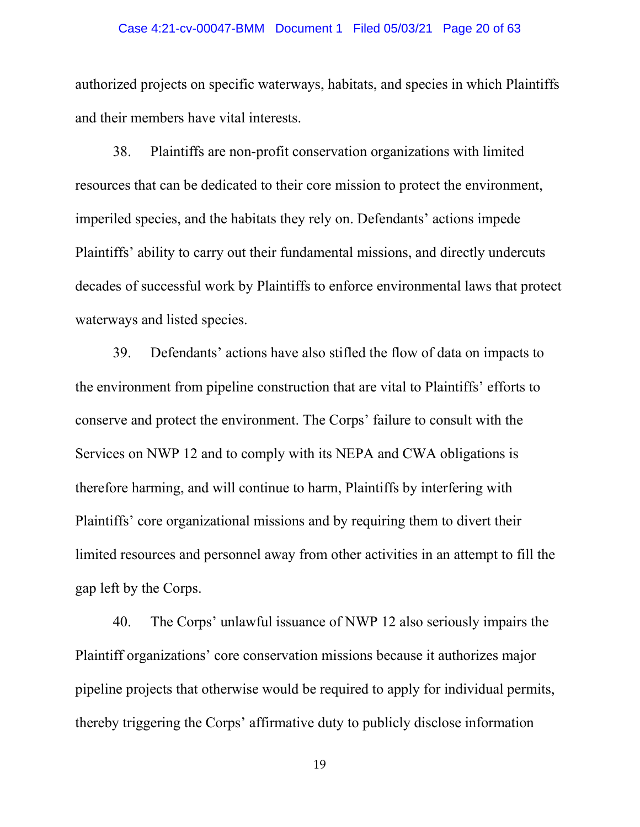#### Case 4:21-cv-00047-BMM Document 1 Filed 05/03/21 Page 20 of 63

authorized projects on specific waterways, habitats, and species in which Plaintiffs and their members have vital interests.

38. Plaintiffs are non-profit conservation organizations with limited resources that can be dedicated to their core mission to protect the environment, imperiled species, and the habitats they rely on. Defendants' actions impede Plaintiffs' ability to carry out their fundamental missions, and directly undercuts decades of successful work by Plaintiffs to enforce environmental laws that protect waterways and listed species.

39. Defendants' actions have also stifled the flow of data on impacts to the environment from pipeline construction that are vital to Plaintiffs' efforts to conserve and protect the environment. The Corps' failure to consult with the Services on NWP 12 and to comply with its NEPA and CWA obligations is therefore harming, and will continue to harm, Plaintiffs by interfering with Plaintiffs' core organizational missions and by requiring them to divert their limited resources and personnel away from other activities in an attempt to fill the gap left by the Corps.

40. The Corps' unlawful issuance of NWP 12 also seriously impairs the Plaintiff organizations' core conservation missions because it authorizes major pipeline projects that otherwise would be required to apply for individual permits, thereby triggering the Corps' affirmative duty to publicly disclose information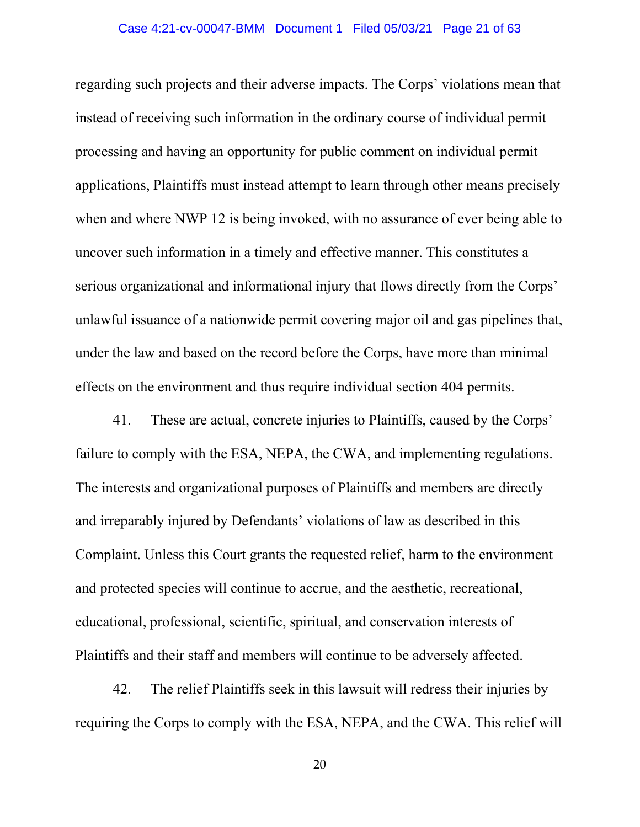#### Case 4:21-cv-00047-BMM Document 1 Filed 05/03/21 Page 21 of 63

regarding such projects and their adverse impacts. The Corps' violations mean that instead of receiving such information in the ordinary course of individual permit processing and having an opportunity for public comment on individual permit applications, Plaintiffs must instead attempt to learn through other means precisely when and where NWP 12 is being invoked, with no assurance of ever being able to uncover such information in a timely and effective manner. This constitutes a serious organizational and informational injury that flows directly from the Corps' unlawful issuance of a nationwide permit covering major oil and gas pipelines that, under the law and based on the record before the Corps, have more than minimal effects on the environment and thus require individual section 404 permits.

41. These are actual, concrete injuries to Plaintiffs, caused by the Corps' failure to comply with the ESA, NEPA, the CWA, and implementing regulations. The interests and organizational purposes of Plaintiffs and members are directly and irreparably injured by Defendants' violations of law as described in this Complaint. Unless this Court grants the requested relief, harm to the environment and protected species will continue to accrue, and the aesthetic, recreational, educational, professional, scientific, spiritual, and conservation interests of Plaintiffs and their staff and members will continue to be adversely affected.

42. The relief Plaintiffs seek in this lawsuit will redress their injuries by requiring the Corps to comply with the ESA, NEPA, and the CWA. This relief will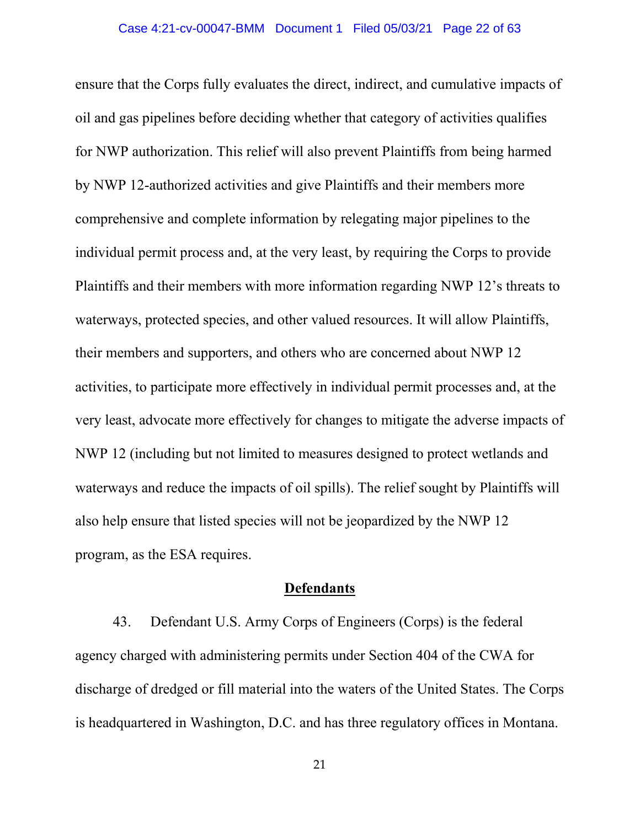ensure that the Corps fully evaluates the direct, indirect, and cumulative impacts of oil and gas pipelines before deciding whether that category of activities qualifies for NWP authorization. This relief will also prevent Plaintiffs from being harmed by NWP 12-authorized activities and give Plaintiffs and their members more comprehensive and complete information by relegating major pipelines to the individual permit process and, at the very least, by requiring the Corps to provide Plaintiffs and their members with more information regarding NWP 12's threats to waterways, protected species, and other valued resources. It will allow Plaintiffs, their members and supporters, and others who are concerned about NWP 12 activities, to participate more effectively in individual permit processes and, at the very least, advocate more effectively for changes to mitigate the adverse impacts of NWP 12 (including but not limited to measures designed to protect wetlands and waterways and reduce the impacts of oil spills). The relief sought by Plaintiffs will also help ensure that listed species will not be jeopardized by the NWP 12 program, as the ESA requires.

### **Defendants**

43. Defendant U.S. Army Corps of Engineers (Corps) is the federal agency charged with administering permits under Section 404 of the CWA for discharge of dredged or fill material into the waters of the United States. The Corps is headquartered in Washington, D.C. and has three regulatory offices in Montana.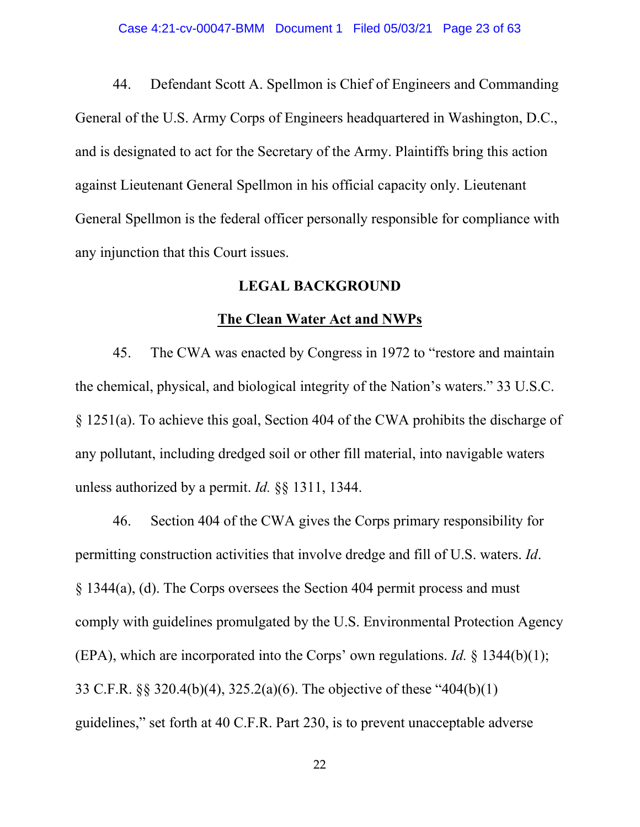44. Defendant Scott A. Spellmon is Chief of Engineers and Commanding General of the U.S. Army Corps of Engineers headquartered in Washington, D.C., and is designated to act for the Secretary of the Army. Plaintiffs bring this action against Lieutenant General Spellmon in his official capacity only. Lieutenant General Spellmon is the federal officer personally responsible for compliance with any injunction that this Court issues.

## **LEGAL BACKGROUND**

#### **The Clean Water Act and NWPs**

45. The CWA was enacted by Congress in 1972 to "restore and maintain the chemical, physical, and biological integrity of the Nation's waters." 33 U.S.C. § 1251(a). To achieve this goal, Section 404 of the CWA prohibits the discharge of any pollutant, including dredged soil or other fill material, into navigable waters unless authorized by a permit. *Id.* §§ 1311, 1344.

46. Section 404 of the CWA gives the Corps primary responsibility for permitting construction activities that involve dredge and fill of U.S. waters. *Id*. § 1344(a), (d). The Corps oversees the Section 404 permit process and must comply with guidelines promulgated by the U.S. Environmental Protection Agency (EPA), which are incorporated into the Corps' own regulations. *Id.* § 1344(b)(1); 33 C.F.R. §§ 320.4(b)(4), 325.2(a)(6). The objective of these "404(b)(1) guidelines," set forth at 40 C.F.R. Part 230, is to prevent unacceptable adverse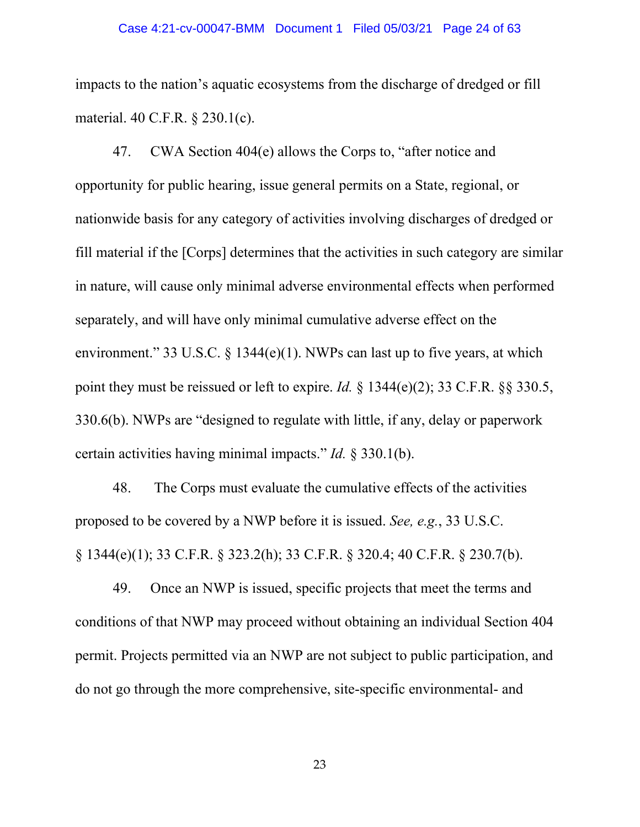#### Case 4:21-cv-00047-BMM Document 1 Filed 05/03/21 Page 24 of 63

impacts to the nation's aquatic ecosystems from the discharge of dredged or fill material. 40 C.F.R. § 230.1(c).

47. CWA Section 404(e) allows the Corps to, "after notice and opportunity for public hearing, issue general permits on a State, regional, or nationwide basis for any category of activities involving discharges of dredged or fill material if the [Corps] determines that the activities in such category are similar in nature, will cause only minimal adverse environmental effects when performed separately, and will have only minimal cumulative adverse effect on the environment." 33 U.S.C. § 1344(e)(1). NWPs can last up to five years, at which point they must be reissued or left to expire. *Id.* § 1344(e)(2); 33 C.F.R. §§ 330.5, 330.6(b). NWPs are "designed to regulate with little, if any, delay or paperwork certain activities having minimal impacts." *Id.* § 330.1(b).

48. The Corps must evaluate the cumulative effects of the activities proposed to be covered by a NWP before it is issued. *See, e.g.*, 33 U.S.C. § 1344(e)(1); 33 C.F.R. § 323.2(h); 33 C.F.R. § 320.4; 40 C.F.R. § 230.7(b).

49. Once an NWP is issued, specific projects that meet the terms and conditions of that NWP may proceed without obtaining an individual Section 404 permit. Projects permitted via an NWP are not subject to public participation, and do not go through the more comprehensive, site-specific environmental- and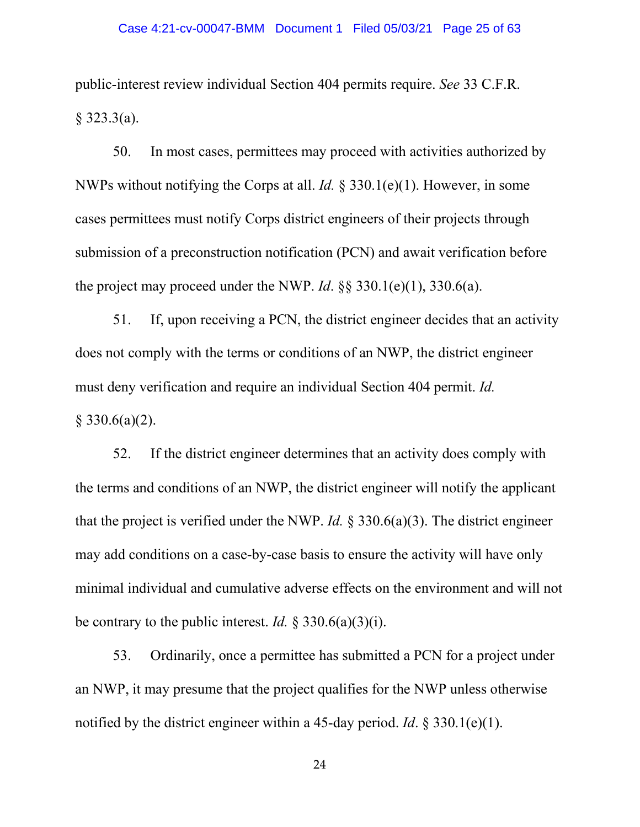public-interest review individual Section 404 permits require. *See* 33 C.F.R.  $§$  323.3(a).

50. In most cases, permittees may proceed with activities authorized by NWPs without notifying the Corps at all. *Id.* § 330.1(e)(1). However, in some cases permittees must notify Corps district engineers of their projects through submission of a preconstruction notification (PCN) and await verification before the project may proceed under the NWP. *Id*. §§ 330.1(e)(1), 330.6(a).

51. If, upon receiving a PCN, the district engineer decides that an activity does not comply with the terms or conditions of an NWP, the district engineer must deny verification and require an individual Section 404 permit. *Id.*  $§$  330.6(a)(2).

52. If the district engineer determines that an activity does comply with the terms and conditions of an NWP, the district engineer will notify the applicant that the project is verified under the NWP. *Id.* § 330.6(a)(3). The district engineer may add conditions on a case-by-case basis to ensure the activity will have only minimal individual and cumulative adverse effects on the environment and will not be contrary to the public interest. *Id.* § 330.6(a)(3)(i).

53. Ordinarily, once a permittee has submitted a PCN for a project under an NWP, it may presume that the project qualifies for the NWP unless otherwise notified by the district engineer within a 45-day period. *Id*. § 330.1(e)(1).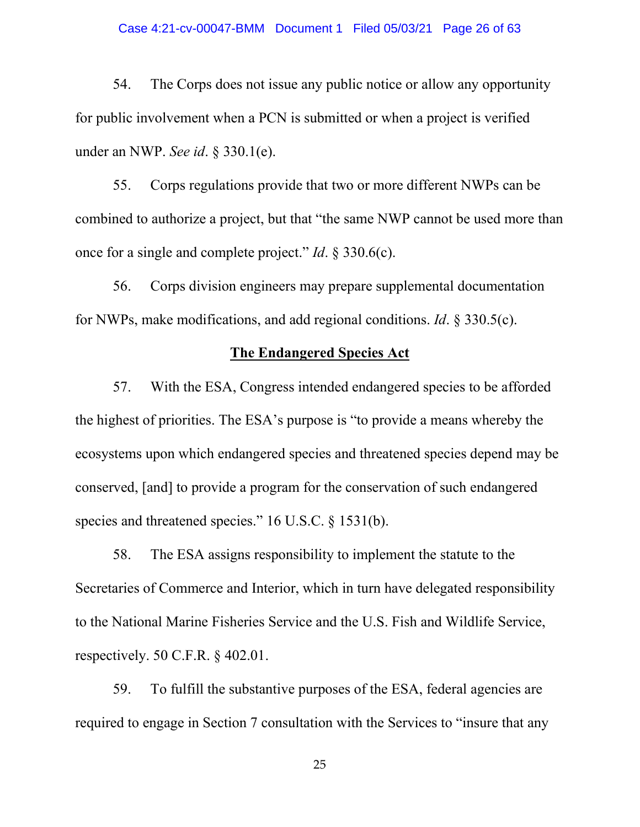#### Case 4:21-cv-00047-BMM Document 1 Filed 05/03/21 Page 26 of 63

54. The Corps does not issue any public notice or allow any opportunity for public involvement when a PCN is submitted or when a project is verified under an NWP. *See id*. § 330.1(e).

55. Corps regulations provide that two or more different NWPs can be combined to authorize a project, but that "the same NWP cannot be used more than once for a single and complete project." *Id*. § 330.6(c).

56. Corps division engineers may prepare supplemental documentation for NWPs, make modifications, and add regional conditions. *Id*. § 330.5(c).

### **The Endangered Species Act**

57. With the ESA, Congress intended endangered species to be afforded the highest of priorities. The ESA's purpose is "to provide a means whereby the ecosystems upon which endangered species and threatened species depend may be conserved, [and] to provide a program for the conservation of such endangered species and threatened species." 16 U.S.C. § 1531(b).

58. The ESA assigns responsibility to implement the statute to the Secretaries of Commerce and Interior, which in turn have delegated responsibility to the National Marine Fisheries Service and the U.S. Fish and Wildlife Service, respectively. 50 C.F.R. § 402.01.

59. To fulfill the substantive purposes of the ESA, federal agencies are required to engage in Section 7 consultation with the Services to "insure that any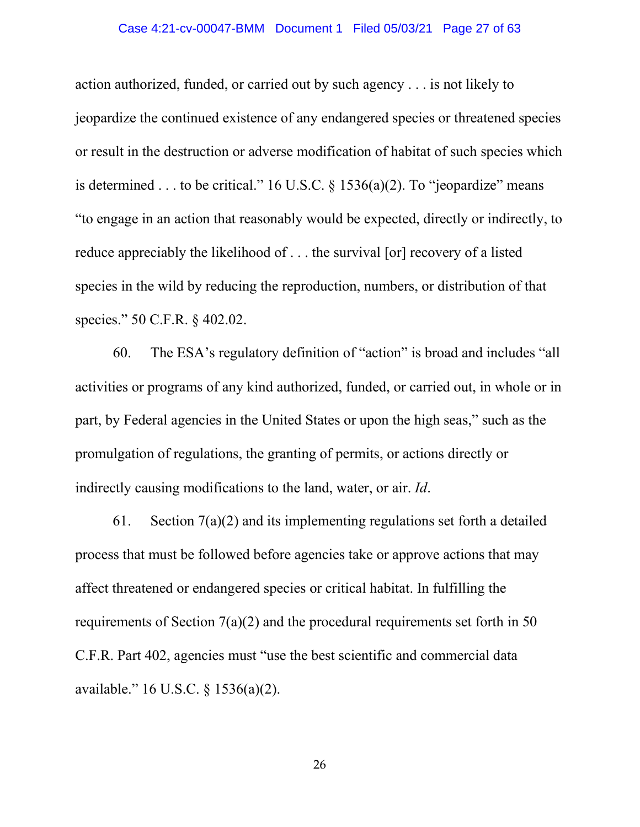#### Case 4:21-cv-00047-BMM Document 1 Filed 05/03/21 Page 27 of 63

action authorized, funded, or carried out by such agency . . . is not likely to jeopardize the continued existence of any endangered species or threatened species or result in the destruction or adverse modification of habitat of such species which is determined . . . to be critical." 16 U.S.C.  $\&$  1536(a)(2). To "jeopardize" means "to engage in an action that reasonably would be expected, directly or indirectly, to reduce appreciably the likelihood of . . . the survival [or] recovery of a listed species in the wild by reducing the reproduction, numbers, or distribution of that species." 50 C.F.R. § 402.02.

60. The ESA's regulatory definition of "action" is broad and includes "all activities or programs of any kind authorized, funded, or carried out, in whole or in part, by Federal agencies in the United States or upon the high seas," such as the promulgation of regulations, the granting of permits, or actions directly or indirectly causing modifications to the land, water, or air. *Id*.

61. Section  $7(a)(2)$  and its implementing regulations set forth a detailed process that must be followed before agencies take or approve actions that may affect threatened or endangered species or critical habitat. In fulfilling the requirements of Section 7(a)(2) and the procedural requirements set forth in 50 C.F.R. Part 402, agencies must "use the best scientific and commercial data available." 16 U.S.C. § 1536(a)(2).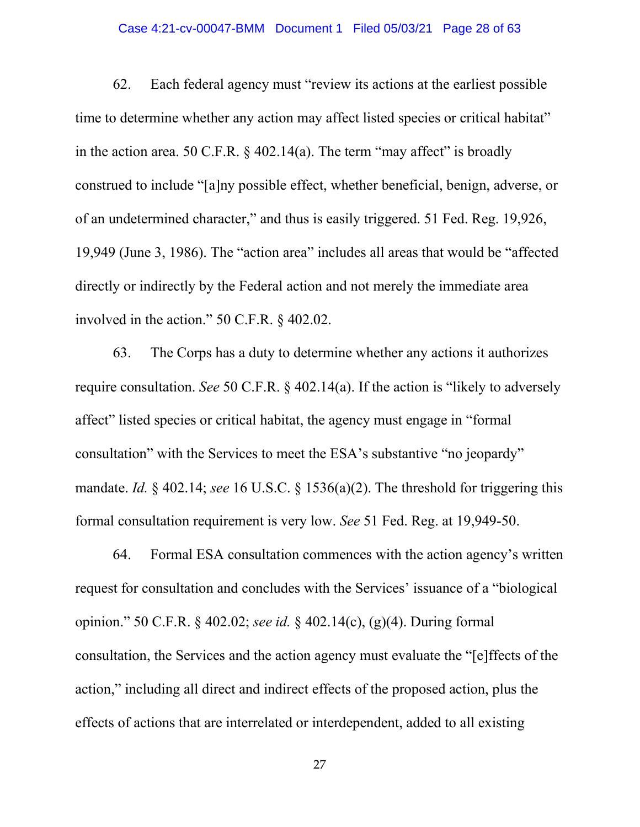#### Case 4:21-cv-00047-BMM Document 1 Filed 05/03/21 Page 28 of 63

62. Each federal agency must "review its actions at the earliest possible time to determine whether any action may affect listed species or critical habitat" in the action area. 50 C.F.R.  $\&$  402.14(a). The term "may affect" is broadly construed to include "[a]ny possible effect, whether beneficial, benign, adverse, or of an undetermined character," and thus is easily triggered. 51 Fed. Reg. 19,926, 19,949 (June 3, 1986). The "action area" includes all areas that would be "affected directly or indirectly by the Federal action and not merely the immediate area involved in the action." 50 C.F.R. § 402.02.

63. The Corps has a duty to determine whether any actions it authorizes require consultation. *See* 50 C.F.R. § 402.14(a). If the action is "likely to adversely affect" listed species or critical habitat, the agency must engage in "formal consultation" with the Services to meet the ESA's substantive "no jeopardy" mandate. *Id.* § 402.14; *see* 16 U.S.C. § 1536(a)(2). The threshold for triggering this formal consultation requirement is very low. *See* 51 Fed. Reg. at 19,949-50.

64. Formal ESA consultation commences with the action agency's written request for consultation and concludes with the Services' issuance of a "biological opinion." 50 C.F.R. § 402.02; *see id.* § 402.14(c), (g)(4). During formal consultation, the Services and the action agency must evaluate the "[e]ffects of the action," including all direct and indirect effects of the proposed action, plus the effects of actions that are interrelated or interdependent, added to all existing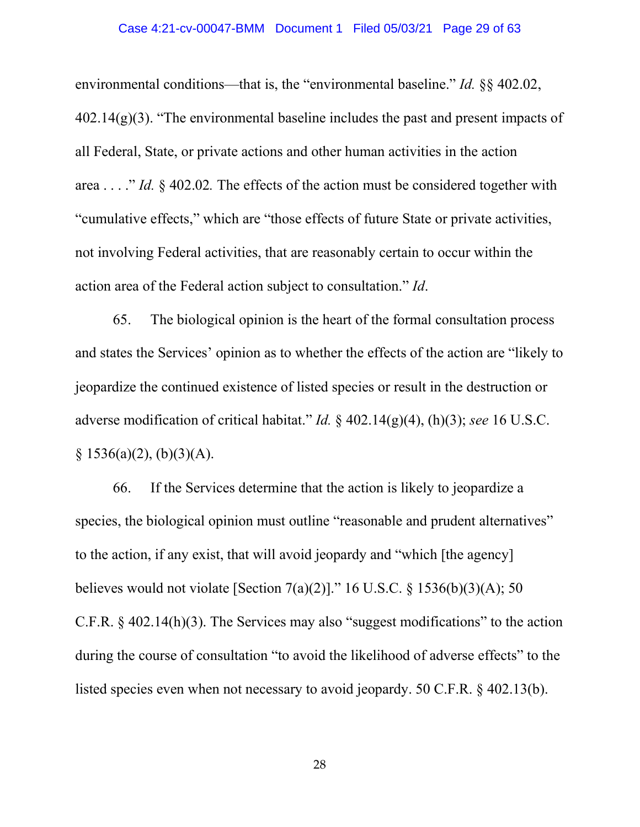#### Case 4:21-cv-00047-BMM Document 1 Filed 05/03/21 Page 29 of 63

environmental conditions—that is, the "environmental baseline." *Id.* §§ 402.02,  $402.14(g)(3)$ . "The environmental baseline includes the past and present impacts of all Federal, State, or private actions and other human activities in the action area . . . ." *Id.* § 402.02*.* The effects of the action must be considered together with "cumulative effects," which are "those effects of future State or private activities, not involving Federal activities, that are reasonably certain to occur within the action area of the Federal action subject to consultation." *Id*.

65. The biological opinion is the heart of the formal consultation process and states the Services' opinion as to whether the effects of the action are "likely to jeopardize the continued existence of listed species or result in the destruction or adverse modification of critical habitat." *Id.* § 402.14(g)(4), (h)(3); *see* 16 U.S.C.  $§ 1536(a)(2), (b)(3)(A).$ 

66. If the Services determine that the action is likely to jeopardize a species, the biological opinion must outline "reasonable and prudent alternatives" to the action, if any exist, that will avoid jeopardy and "which [the agency] believes would not violate [Section 7(a)(2)]." 16 U.S.C. § 1536(b)(3)(A); 50 C.F.R. § 402.14(h)(3). The Services may also "suggest modifications" to the action during the course of consultation "to avoid the likelihood of adverse effects" to the listed species even when not necessary to avoid jeopardy. 50 C.F.R. § 402.13(b).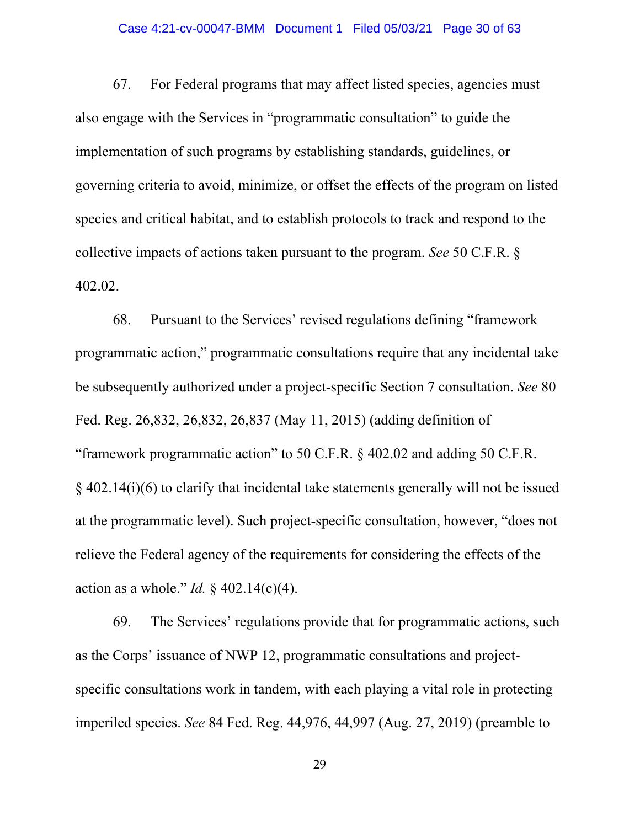#### Case 4:21-cv-00047-BMM Document 1 Filed 05/03/21 Page 30 of 63

67. For Federal programs that may affect listed species, agencies must also engage with the Services in "programmatic consultation" to guide the implementation of such programs by establishing standards, guidelines, or governing criteria to avoid, minimize, or offset the effects of the program on listed species and critical habitat, and to establish protocols to track and respond to the collective impacts of actions taken pursuant to the program. *See* 50 C.F.R. § 402.02.

68. Pursuant to the Services' revised regulations defining "framework programmatic action," programmatic consultations require that any incidental take be subsequently authorized under a project-specific Section 7 consultation. *See* 80 Fed. Reg. 26,832, 26,832, 26,837 (May 11, 2015) (adding definition of "framework programmatic action" to 50 C.F.R. § 402.02 and adding 50 C.F.R. § 402.14(i)(6) to clarify that incidental take statements generally will not be issued at the programmatic level). Such project-specific consultation, however, "does not relieve the Federal agency of the requirements for considering the effects of the action as a whole." *Id.* § 402.14(c)(4).

69. The Services' regulations provide that for programmatic actions, such as the Corps' issuance of NWP 12, programmatic consultations and projectspecific consultations work in tandem, with each playing a vital role in protecting imperiled species. *See* 84 Fed. Reg. 44,976, 44,997 (Aug. 27, 2019) (preamble to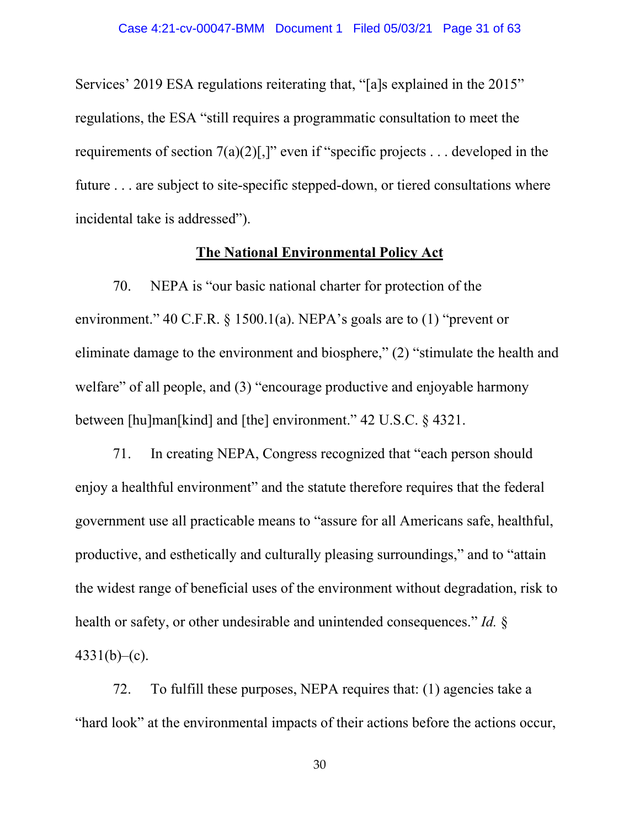Services' 2019 ESA regulations reiterating that, "[a]s explained in the 2015" regulations, the ESA "still requires a programmatic consultation to meet the requirements of section  $7(a)(2)$ [,]" even if "specific projects ... developed in the future . . . are subject to site-specific stepped-down, or tiered consultations where incidental take is addressed").

### **The National Environmental Policy Act**

70. NEPA is "our basic national charter for protection of the environment." 40 C.F.R. § 1500.1(a). NEPA's goals are to (1) "prevent or eliminate damage to the environment and biosphere," (2) "stimulate the health and welfare" of all people, and (3) "encourage productive and enjoyable harmony between [hu]man[kind] and [the] environment." 42 U.S.C. § 4321.

71. In creating NEPA, Congress recognized that "each person should enjoy a healthful environment" and the statute therefore requires that the federal government use all practicable means to "assure for all Americans safe, healthful, productive, and esthetically and culturally pleasing surroundings," and to "attain the widest range of beneficial uses of the environment without degradation, risk to health or safety, or other undesirable and unintended consequences." *Id.* §  $4331(b)$ –(c).

72. To fulfill these purposes, NEPA requires that: (1) agencies take a "hard look" at the environmental impacts of their actions before the actions occur,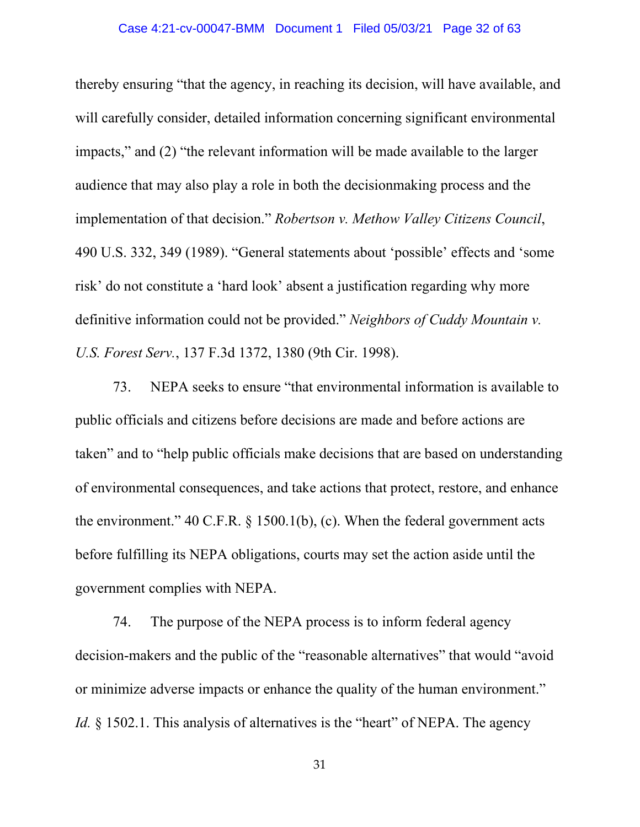thereby ensuring "that the agency, in reaching its decision, will have available, and will carefully consider, detailed information concerning significant environmental impacts," and (2) "the relevant information will be made available to the larger audience that may also play a role in both the decisionmaking process and the implementation of that decision." *Robertson v. Methow Valley Citizens Council*, 490 U.S. 332, 349 (1989). "General statements about 'possible' effects and 'some risk' do not constitute a 'hard look' absent a justification regarding why more definitive information could not be provided." *Neighbors of Cuddy Mountain v. U.S. Forest Serv.*, 137 F.3d 1372, 1380 (9th Cir. 1998).

73. NEPA seeks to ensure "that environmental information is available to public officials and citizens before decisions are made and before actions are taken" and to "help public officials make decisions that are based on understanding of environmental consequences, and take actions that protect, restore, and enhance the environment." 40 C.F.R. § 1500.1(b), (c). When the federal government acts before fulfilling its NEPA obligations, courts may set the action aside until the government complies with NEPA.

74. The purpose of the NEPA process is to inform federal agency decision-makers and the public of the "reasonable alternatives" that would "avoid or minimize adverse impacts or enhance the quality of the human environment." *Id.* § 1502.1. This analysis of alternatives is the "heart" of NEPA. The agency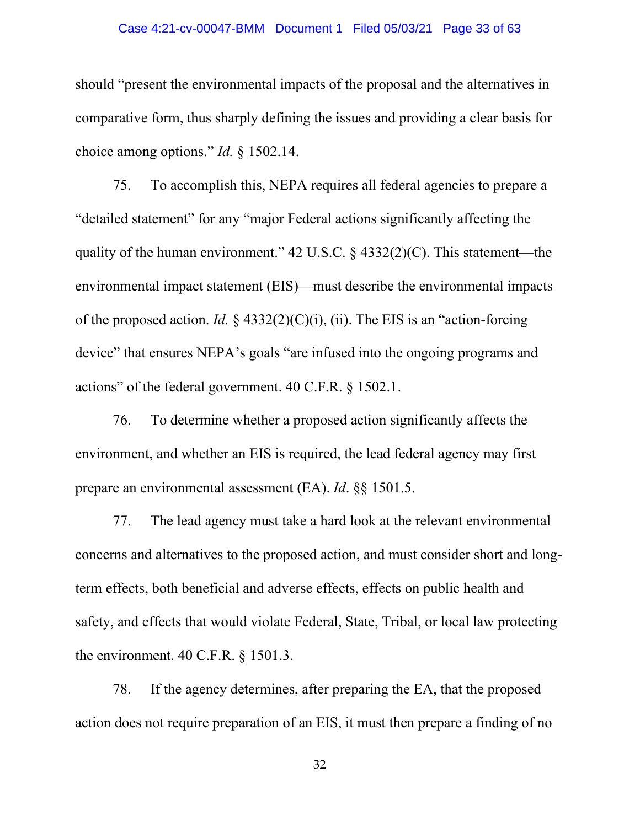#### Case 4:21-cv-00047-BMM Document 1 Filed 05/03/21 Page 33 of 63

should "present the environmental impacts of the proposal and the alternatives in comparative form, thus sharply defining the issues and providing a clear basis for choice among options." *Id.* § 1502.14.

75. To accomplish this, NEPA requires all federal agencies to prepare a "detailed statement" for any "major Federal actions significantly affecting the quality of the human environment." 42 U.S.C.  $\S$  4332(2)(C). This statement—the environmental impact statement (EIS)—must describe the environmental impacts of the proposed action. *Id.* § 4332(2)(C)(i), (ii). The EIS is an "action-forcing device" that ensures NEPA's goals "are infused into the ongoing programs and actions" of the federal government. 40 C.F.R. § 1502.1.

76. To determine whether a proposed action significantly affects the environment, and whether an EIS is required, the lead federal agency may first prepare an environmental assessment (EA). *Id*. §§ 1501.5.

77. The lead agency must take a hard look at the relevant environmental concerns and alternatives to the proposed action, and must consider short and longterm effects, both beneficial and adverse effects, effects on public health and safety, and effects that would violate Federal, State, Tribal, or local law protecting the environment. 40 C.F.R. § 1501.3.

78. If the agency determines, after preparing the EA, that the proposed action does not require preparation of an EIS, it must then prepare a finding of no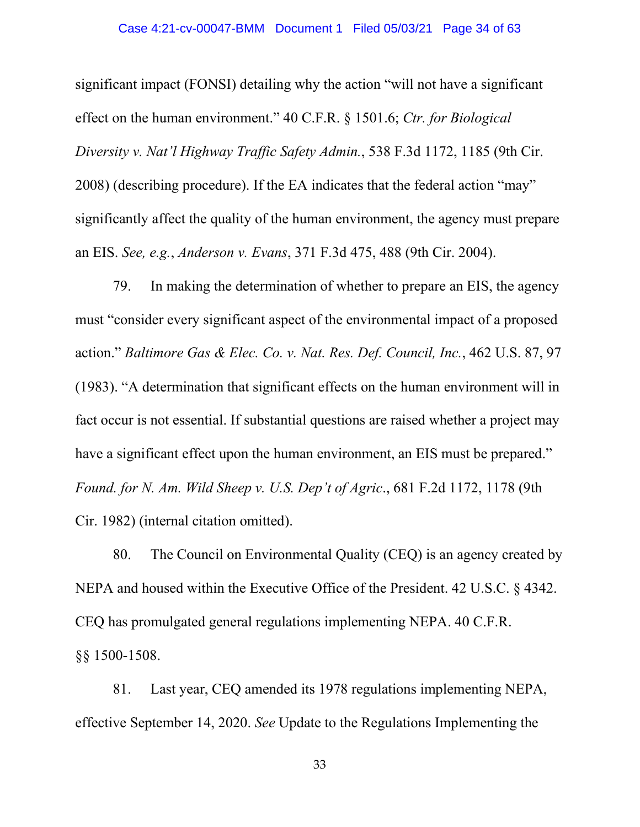significant impact (FONSI) detailing why the action "will not have a significant effect on the human environment." 40 C.F.R. § 1501.6; *Ctr. for Biological Diversity v. Nat'l Highway Traffic Safety Admin.*, 538 F.3d 1172, 1185 (9th Cir. 2008) (describing procedure). If the EA indicates that the federal action "may" significantly affect the quality of the human environment, the agency must prepare an EIS. *See, e.g.*, *Anderson v. Evans*, 371 F.3d 475, 488 (9th Cir. 2004).

79. In making the determination of whether to prepare an EIS, the agency must "consider every significant aspect of the environmental impact of a proposed action." *Baltimore Gas & Elec. Co. v. Nat. Res. Def. Council, Inc.*, 462 U.S. 87, 97 (1983). "A determination that significant effects on the human environment will in fact occur is not essential. If substantial questions are raised whether a project may have a significant effect upon the human environment, an EIS must be prepared." *Found. for N. Am. Wild Sheep v. U.S. Dep't of Agric*., 681 F.2d 1172, 1178 (9th Cir. 1982) (internal citation omitted).

80. The Council on Environmental Quality (CEQ) is an agency created by NEPA and housed within the Executive Office of the President. 42 U.S.C. § 4342. CEQ has promulgated general regulations implementing NEPA. 40 C.F.R. §§ 1500-1508.

81. Last year, CEQ amended its 1978 regulations implementing NEPA, effective September 14, 2020. *See* Update to the Regulations Implementing the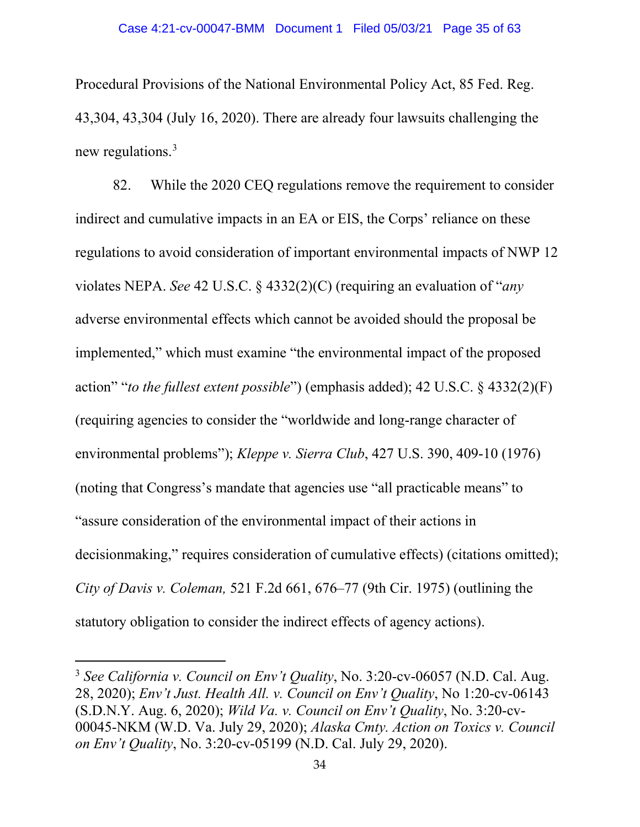Procedural Provisions of the National Environmental Policy Act, 85 Fed. Reg. 43,304, 43,304 (July 16, 2020). There are already four lawsuits challenging the new regulations.3

82. While the 2020 CEQ regulations remove the requirement to consider indirect and cumulative impacts in an EA or EIS, the Corps' reliance on these regulations to avoid consideration of important environmental impacts of NWP 12 violates NEPA. *See* 42 U.S.C. § 4332(2)(C) (requiring an evaluation of "*any*  adverse environmental effects which cannot be avoided should the proposal be implemented," which must examine "the environmental impact of the proposed action" "*to the fullest extent possible*") (emphasis added); 42 U.S.C. § 4332(2)(F) (requiring agencies to consider the "worldwide and long-range character of environmental problems"); *Kleppe v. Sierra Club*, 427 U.S. 390, 409-10 (1976) (noting that Congress's mandate that agencies use "all practicable means" to "assure consideration of the environmental impact of their actions in decisionmaking," requires consideration of cumulative effects) (citations omitted); *City of Davis v. Coleman,* 521 F.2d 661, 676–77 (9th Cir. 1975) (outlining the statutory obligation to consider the indirect effects of agency actions).

<sup>3</sup> *See California v. Council on Env't Quality*, No. 3:20-cv-06057 (N.D. Cal. Aug. 28, 2020); *Env't Just. Health All. v. Council on Env't Quality*, No 1:20-cv-06143 (S.D.N.Y. Aug. 6, 2020); *Wild Va. v. Council on Env't Quality*, No. 3:20-cv-00045-NKM (W.D. Va. July 29, 2020); *Alaska Cmty. Action on Toxics v. Council on Env't Quality*, No. 3:20-cv-05199 (N.D. Cal. July 29, 2020).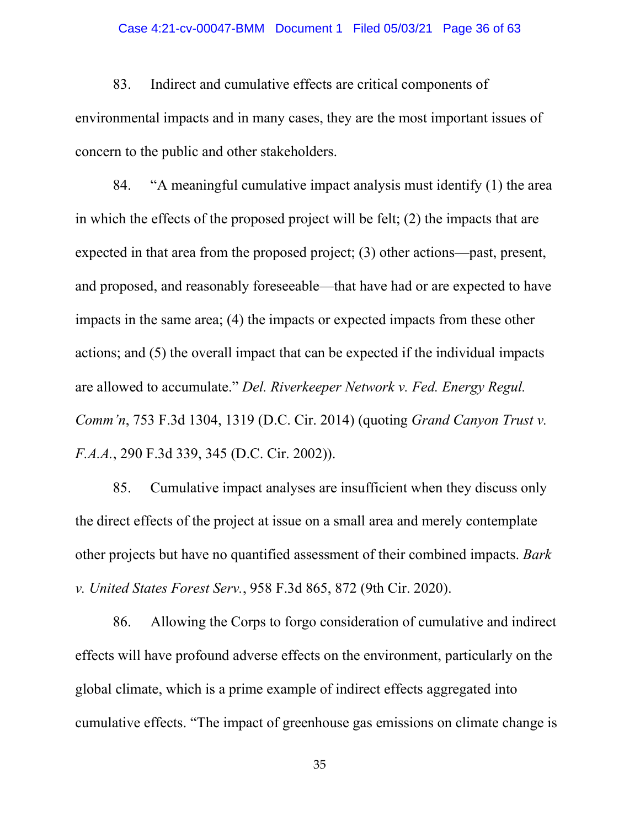#### Case 4:21-cv-00047-BMM Document 1 Filed 05/03/21 Page 36 of 63

83. Indirect and cumulative effects are critical components of environmental impacts and in many cases, they are the most important issues of concern to the public and other stakeholders.

84. "A meaningful cumulative impact analysis must identify (1) the area in which the effects of the proposed project will be felt; (2) the impacts that are expected in that area from the proposed project; (3) other actions—past, present, and proposed, and reasonably foreseeable—that have had or are expected to have impacts in the same area; (4) the impacts or expected impacts from these other actions; and (5) the overall impact that can be expected if the individual impacts are allowed to accumulate." *Del. Riverkeeper Network v. Fed. Energy Regul. Comm'n*, 753 F.3d 1304, 1319 (D.C. Cir. 2014) (quoting *Grand Canyon Trust v. F.A.A.*, 290 F.3d 339, 345 (D.C. Cir. 2002)).

85. Cumulative impact analyses are insufficient when they discuss only the direct effects of the project at issue on a small area and merely contemplate other projects but have no quantified assessment of their combined impacts. *Bark v. United States Forest Serv.*, 958 F.3d 865, 872 (9th Cir. 2020).

86. Allowing the Corps to forgo consideration of cumulative and indirect effects will have profound adverse effects on the environment, particularly on the global climate, which is a prime example of indirect effects aggregated into cumulative effects. "The impact of greenhouse gas emissions on climate change is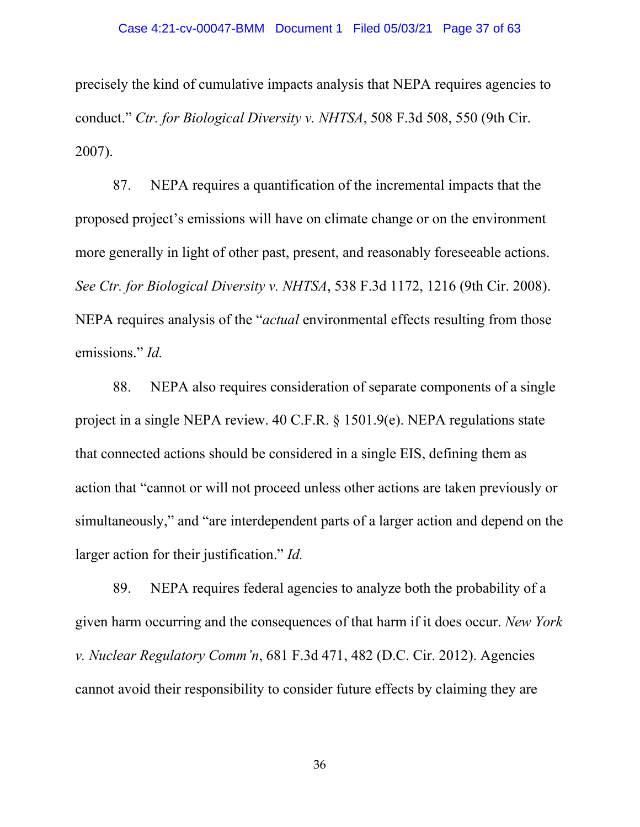precisely the kind of cumulative impacts analysis that NEPA requires agencies to conduct." *Ctr. for Biological Diversity v. NHTSA*, 508 F.3d 508, 550 (9th Cir. 2007).

87. NEPA requires a quantification of the incremental impacts that the proposed project's emissions will have on climate change or on the environment more generally in light of other past, present, and reasonably foreseeable actions. *See Ctr. for Biological Diversity v. NHTSA*, 538 F.3d 1172, 1216 (9th Cir. 2008). NEPA requires analysis of the "*actual* environmental effects resulting from those emissions." *Id.*

88. NEPA also requires consideration of separate components of a single project in a single NEPA review. 40 C.F.R. § 1501.9(e). NEPA regulations state that connected actions should be considered in a single EIS, defining them as action that "cannot or will not proceed unless other actions are taken previously or simultaneously," and "are interdependent parts of a larger action and depend on the larger action for their justification." *Id.*

89. NEPA requires federal agencies to analyze both the probability of a given harm occurring and the consequences of that harm if it does occur. *New York v. Nuclear Regulatory Comm'n*, 681 F.3d 471, 482 (D.C. Cir. 2012). Agencies cannot avoid their responsibility to consider future effects by claiming they are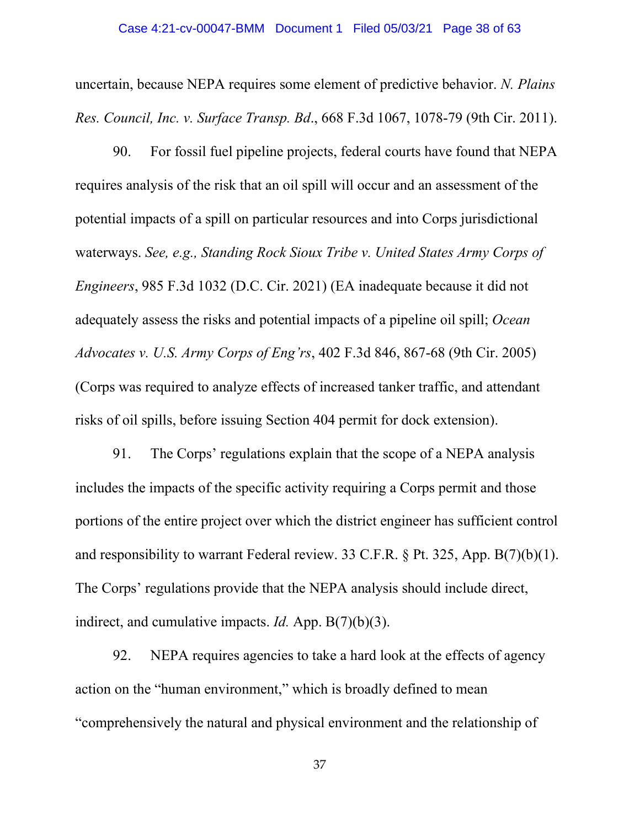uncertain, because NEPA requires some element of predictive behavior. *N. Plains Res. Council, Inc. v. Surface Transp. Bd*., 668 F.3d 1067, 1078-79 (9th Cir. 2011).

90. For fossil fuel pipeline projects, federal courts have found that NEPA requires analysis of the risk that an oil spill will occur and an assessment of the potential impacts of a spill on particular resources and into Corps jurisdictional waterways. *See, e.g., Standing Rock Sioux Tribe v. United States Army Corps of Engineers*, 985 F.3d 1032 (D.C. Cir. 2021) (EA inadequate because it did not adequately assess the risks and potential impacts of a pipeline oil spill; *Ocean Advocates v. U.S. Army Corps of Eng'rs*, 402 F.3d 846, 867-68 (9th Cir. 2005) (Corps was required to analyze effects of increased tanker traffic, and attendant risks of oil spills, before issuing Section 404 permit for dock extension).

91. The Corps' regulations explain that the scope of a NEPA analysis includes the impacts of the specific activity requiring a Corps permit and those portions of the entire project over which the district engineer has sufficient control and responsibility to warrant Federal review. 33 C.F.R. § Pt. 325, App. B(7)(b)(1). The Corps' regulations provide that the NEPA analysis should include direct, indirect, and cumulative impacts. *Id.* App. B(7)(b)(3).

92. NEPA requires agencies to take a hard look at the effects of agency action on the "human environment," which is broadly defined to mean "comprehensively the natural and physical environment and the relationship of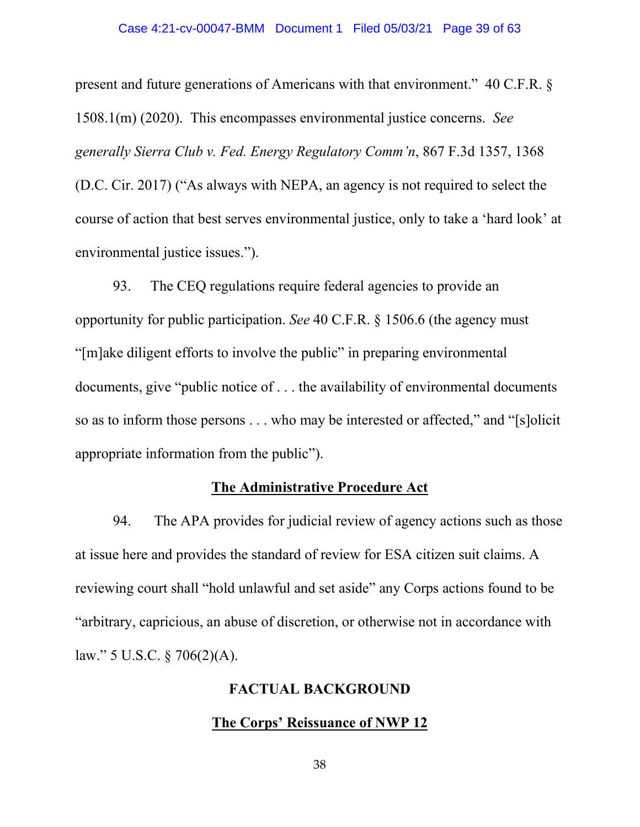#### Case 4:21-cv-00047-BMM Document 1 Filed 05/03/21 Page 39 of 63

present and future generations of Americans with that environment." 40 C.F.R. § 1508.1(m) (2020). This encompasses environmental justice concerns. *See generally Sierra Club v. Fed. Energy Regulatory Comm'n*, 867 F.3d 1357, 1368 (D.C. Cir. 2017) ("As always with NEPA, an agency is not required to select the course of action that best serves environmental justice, only to take a 'hard look' at environmental justice issues.").

93. The CEQ regulations require federal agencies to provide an opportunity for public participation. *See* 40 C.F.R. § 1506.6 (the agency must "[m]ake diligent efforts to involve the public" in preparing environmental documents, give "public notice of . . . the availability of environmental documents so as to inform those persons . . . who may be interested or affected," and "[s]olicit appropriate information from the public").

### **The Administrative Procedure Act**

94. The APA provides for judicial review of agency actions such as those at issue here and provides the standard of review for ESA citizen suit claims. A reviewing court shall "hold unlawful and set aside" any Corps actions found to be "arbitrary, capricious, an abuse of discretion, or otherwise not in accordance with law." 5 U.S.C. § 706(2)(A).

### **FACTUAL BACKGROUND**

### **The Corps' Reissuance of NWP 12**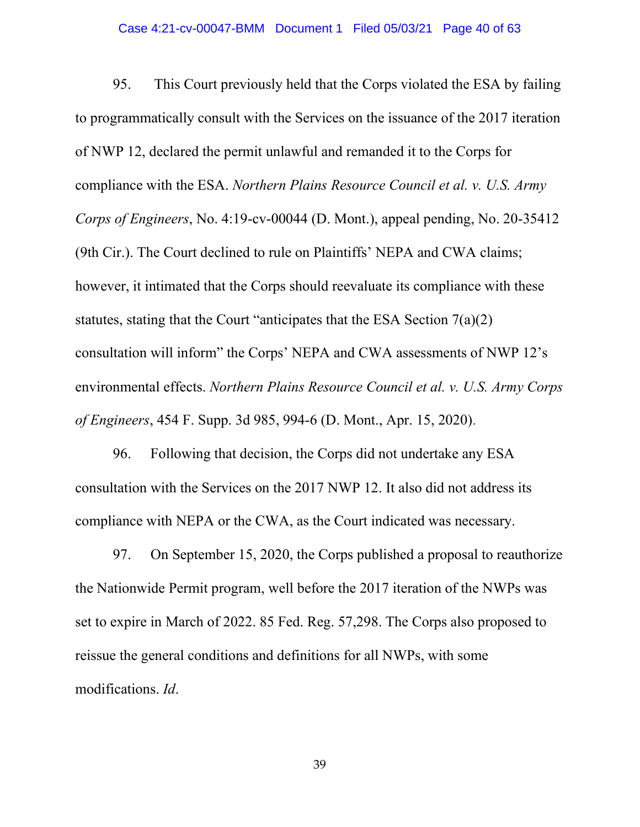#### Case 4:21-cv-00047-BMM Document 1 Filed 05/03/21 Page 40 of 63

95. This Court previously held that the Corps violated the ESA by failing to programmatically consult with the Services on the issuance of the 2017 iteration of NWP 12, declared the permit unlawful and remanded it to the Corps for compliance with the ESA. *Northern Plains Resource Council et al. v. U.S. Army Corps of Engineers*, No. 4:19-cv-00044 (D. Mont.), appeal pending, No. 20-35412 (9th Cir.). The Court declined to rule on Plaintiffs' NEPA and CWA claims; however, it intimated that the Corps should reevaluate its compliance with these statutes, stating that the Court "anticipates that the ESA Section 7(a)(2) consultation will inform" the Corps' NEPA and CWA assessments of NWP 12's environmental effects. *Northern Plains Resource Council et al. v. U.S. Army Corps of Engineers*, 454 F. Supp. 3d 985, 994-6 (D. Mont., Apr. 15, 2020).

96. Following that decision, the Corps did not undertake any ESA consultation with the Services on the 2017 NWP 12. It also did not address its compliance with NEPA or the CWA, as the Court indicated was necessary.

97. On September 15, 2020, the Corps published a proposal to reauthorize the Nationwide Permit program, well before the 2017 iteration of the NWPs was set to expire in March of 2022. 85 Fed. Reg. 57,298. The Corps also proposed to reissue the general conditions and definitions for all NWPs, with some modifications. *Id*.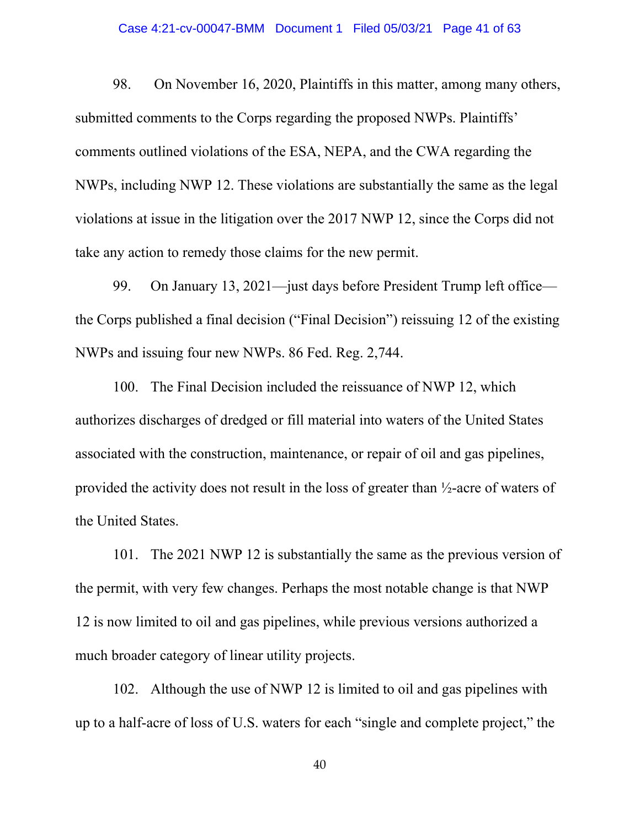#### Case 4:21-cv-00047-BMM Document 1 Filed 05/03/21 Page 41 of 63

98. On November 16, 2020, Plaintiffs in this matter, among many others, submitted comments to the Corps regarding the proposed NWPs. Plaintiffs' comments outlined violations of the ESA, NEPA, and the CWA regarding the NWPs, including NWP 12. These violations are substantially the same as the legal violations at issue in the litigation over the 2017 NWP 12, since the Corps did not take any action to remedy those claims for the new permit.

99. On January 13, 2021—just days before President Trump left office the Corps published a final decision ("Final Decision") reissuing 12 of the existing NWPs and issuing four new NWPs. 86 Fed. Reg. 2,744.

100. The Final Decision included the reissuance of NWP 12, which authorizes discharges of dredged or fill material into waters of the United States associated with the construction, maintenance, or repair of oil and gas pipelines, provided the activity does not result in the loss of greater than ½-acre of waters of the United States.

101. The 2021 NWP 12 is substantially the same as the previous version of the permit, with very few changes. Perhaps the most notable change is that NWP 12 is now limited to oil and gas pipelines, while previous versions authorized a much broader category of linear utility projects.

102. Although the use of NWP 12 is limited to oil and gas pipelines with up to a half-acre of loss of U.S. waters for each "single and complete project," the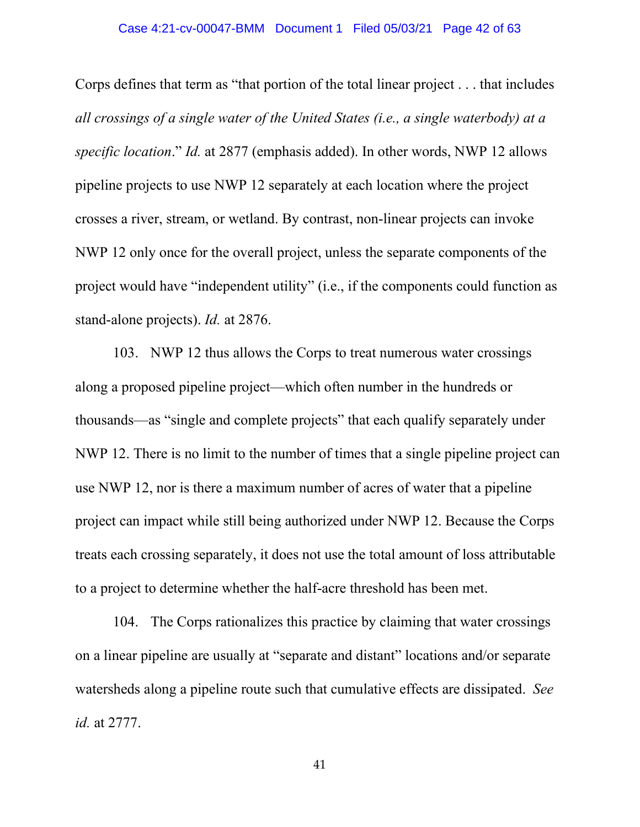#### Case 4:21-cv-00047-BMM Document 1 Filed 05/03/21 Page 42 of 63

Corps defines that term as "that portion of the total linear project . . . that includes *all crossings of a single water of the United States (i.e., a single waterbody) at a specific location*." *Id.* at 2877 (emphasis added). In other words, NWP 12 allows pipeline projects to use NWP 12 separately at each location where the project crosses a river, stream, or wetland. By contrast, non-linear projects can invoke NWP 12 only once for the overall project, unless the separate components of the project would have "independent utility" (i.e., if the components could function as stand-alone projects). *Id.* at 2876.

103. NWP 12 thus allows the Corps to treat numerous water crossings along a proposed pipeline project—which often number in the hundreds or thousands—as "single and complete projects" that each qualify separately under NWP 12. There is no limit to the number of times that a single pipeline project can use NWP 12, nor is there a maximum number of acres of water that a pipeline project can impact while still being authorized under NWP 12. Because the Corps treats each crossing separately, it does not use the total amount of loss attributable to a project to determine whether the half-acre threshold has been met.

104. The Corps rationalizes this practice by claiming that water crossings on a linear pipeline are usually at "separate and distant" locations and/or separate watersheds along a pipeline route such that cumulative effects are dissipated. *See id.* at 2777.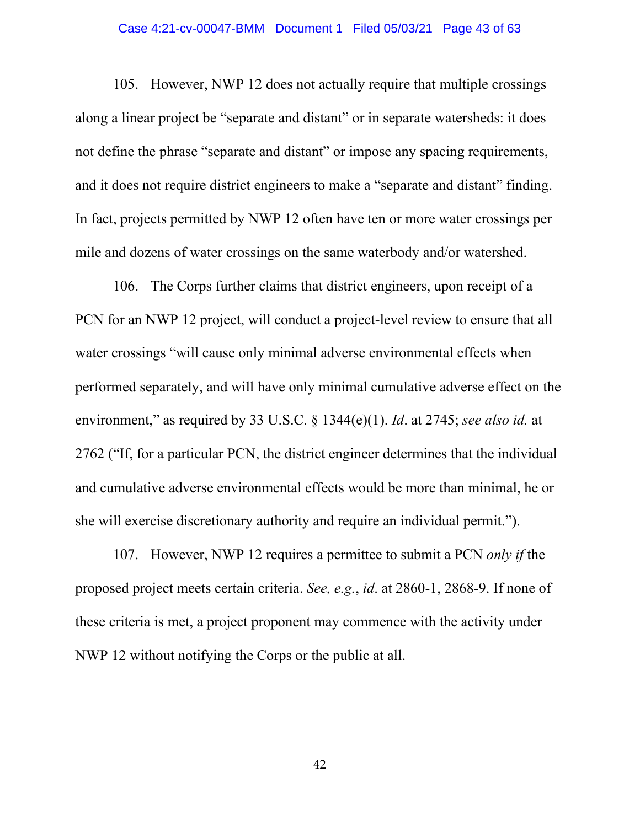#### Case 4:21-cv-00047-BMM Document 1 Filed 05/03/21 Page 43 of 63

105. However, NWP 12 does not actually require that multiple crossings along a linear project be "separate and distant" or in separate watersheds: it does not define the phrase "separate and distant" or impose any spacing requirements, and it does not require district engineers to make a "separate and distant" finding. In fact, projects permitted by NWP 12 often have ten or more water crossings per mile and dozens of water crossings on the same waterbody and/or watershed.

106. The Corps further claims that district engineers, upon receipt of a PCN for an NWP 12 project, will conduct a project-level review to ensure that all water crossings "will cause only minimal adverse environmental effects when performed separately, and will have only minimal cumulative adverse effect on the environment," as required by 33 U.S.C. § 1344(e)(1). *Id*. at 2745; *see also id.* at 2762 ("If, for a particular PCN, the district engineer determines that the individual and cumulative adverse environmental effects would be more than minimal, he or she will exercise discretionary authority and require an individual permit.").

107. However, NWP 12 requires a permittee to submit a PCN *only if* the proposed project meets certain criteria. *See, e.g.*, *id*. at 2860-1, 2868-9. If none of these criteria is met, a project proponent may commence with the activity under NWP 12 without notifying the Corps or the public at all.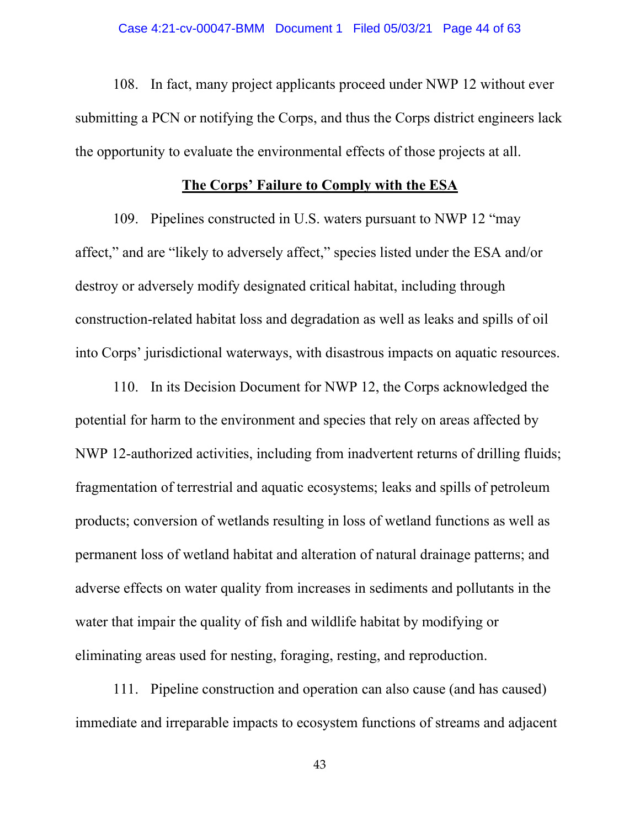108. In fact, many project applicants proceed under NWP 12 without ever submitting a PCN or notifying the Corps, and thus the Corps district engineers lack the opportunity to evaluate the environmental effects of those projects at all.

## **The Corps' Failure to Comply with the ESA**

109. Pipelines constructed in U.S. waters pursuant to NWP 12 "may affect," and are "likely to adversely affect," species listed under the ESA and/or destroy or adversely modify designated critical habitat, including through construction-related habitat loss and degradation as well as leaks and spills of oil into Corps' jurisdictional waterways, with disastrous impacts on aquatic resources.

110. In its Decision Document for NWP 12, the Corps acknowledged the potential for harm to the environment and species that rely on areas affected by NWP 12-authorized activities, including from inadvertent returns of drilling fluids; fragmentation of terrestrial and aquatic ecosystems; leaks and spills of petroleum products; conversion of wetlands resulting in loss of wetland functions as well as permanent loss of wetland habitat and alteration of natural drainage patterns; and adverse effects on water quality from increases in sediments and pollutants in the water that impair the quality of fish and wildlife habitat by modifying or eliminating areas used for nesting, foraging, resting, and reproduction.

111. Pipeline construction and operation can also cause (and has caused) immediate and irreparable impacts to ecosystem functions of streams and adjacent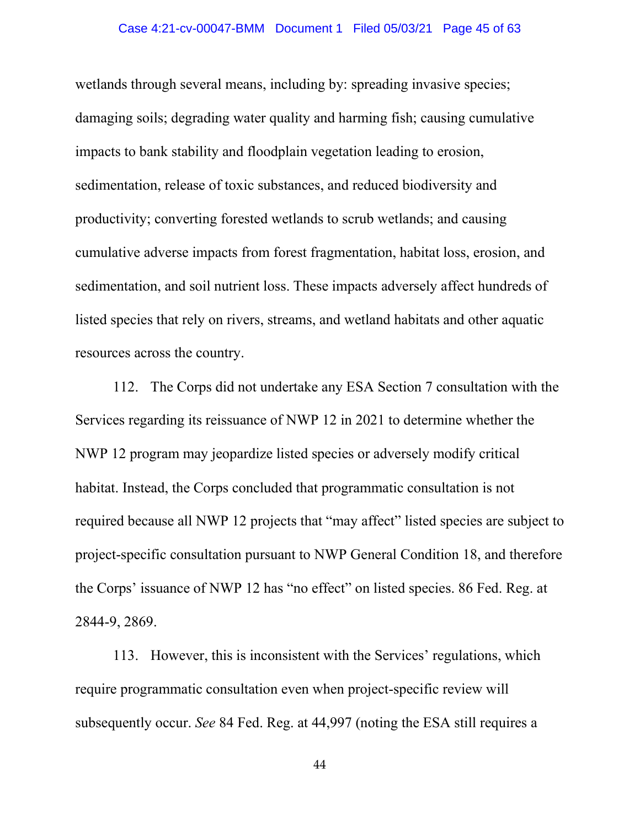#### Case 4:21-cv-00047-BMM Document 1 Filed 05/03/21 Page 45 of 63

wetlands through several means, including by: spreading invasive species; damaging soils; degrading water quality and harming fish; causing cumulative impacts to bank stability and floodplain vegetation leading to erosion, sedimentation, release of toxic substances, and reduced biodiversity and productivity; converting forested wetlands to scrub wetlands; and causing cumulative adverse impacts from forest fragmentation, habitat loss, erosion, and sedimentation, and soil nutrient loss. These impacts adversely affect hundreds of listed species that rely on rivers, streams, and wetland habitats and other aquatic resources across the country.

112. The Corps did not undertake any ESA Section 7 consultation with the Services regarding its reissuance of NWP 12 in 2021 to determine whether the NWP 12 program may jeopardize listed species or adversely modify critical habitat. Instead, the Corps concluded that programmatic consultation is not required because all NWP 12 projects that "may affect" listed species are subject to project-specific consultation pursuant to NWP General Condition 18, and therefore the Corps' issuance of NWP 12 has "no effect" on listed species. 86 Fed. Reg. at 2844-9, 2869.

113. However, this is inconsistent with the Services' regulations, which require programmatic consultation even when project-specific review will subsequently occur. *See* 84 Fed. Reg. at 44,997 (noting the ESA still requires a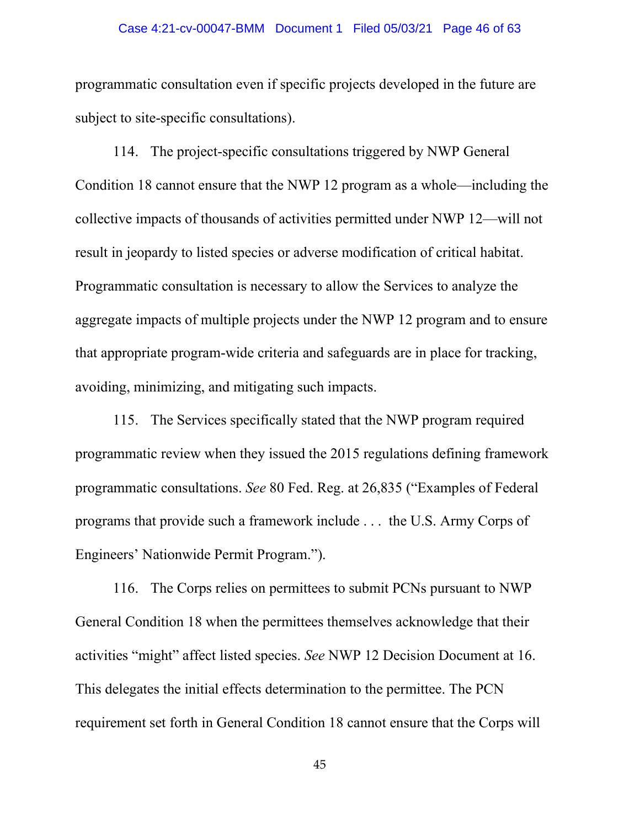#### Case 4:21-cv-00047-BMM Document 1 Filed 05/03/21 Page 46 of 63

programmatic consultation even if specific projects developed in the future are subject to site-specific consultations).

114. The project-specific consultations triggered by NWP General Condition 18 cannot ensure that the NWP 12 program as a whole—including the collective impacts of thousands of activities permitted under NWP 12—will not result in jeopardy to listed species or adverse modification of critical habitat. Programmatic consultation is necessary to allow the Services to analyze the aggregate impacts of multiple projects under the NWP 12 program and to ensure that appropriate program-wide criteria and safeguards are in place for tracking, avoiding, minimizing, and mitigating such impacts.

115. The Services specifically stated that the NWP program required programmatic review when they issued the 2015 regulations defining framework programmatic consultations. *See* 80 Fed. Reg. at 26,835 ("Examples of Federal programs that provide such a framework include . . . the U.S. Army Corps of Engineers' Nationwide Permit Program.").

116. The Corps relies on permittees to submit PCNs pursuant to NWP General Condition 18 when the permittees themselves acknowledge that their activities "might" affect listed species. *See* NWP 12 Decision Document at 16. This delegates the initial effects determination to the permittee. The PCN requirement set forth in General Condition 18 cannot ensure that the Corps will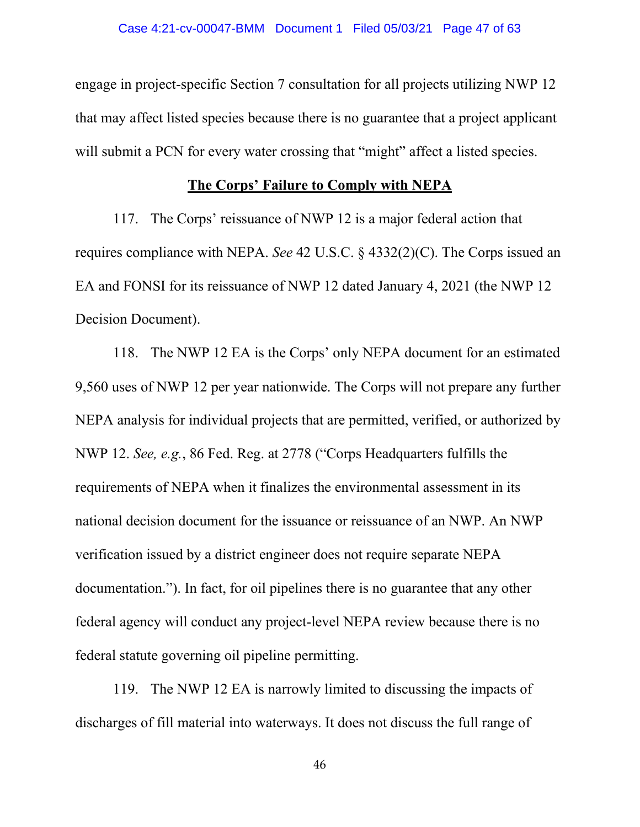engage in project-specific Section 7 consultation for all projects utilizing NWP 12 that may affect listed species because there is no guarantee that a project applicant will submit a PCN for every water crossing that "might" affect a listed species.

## **The Corps' Failure to Comply with NEPA**

117. The Corps' reissuance of NWP 12 is a major federal action that requires compliance with NEPA. *See* 42 U.S.C. § 4332(2)(C). The Corps issued an EA and FONSI for its reissuance of NWP 12 dated January 4, 2021 (the NWP 12 Decision Document).

118. The NWP 12 EA is the Corps' only NEPA document for an estimated 9,560 uses of NWP 12 per year nationwide. The Corps will not prepare any further NEPA analysis for individual projects that are permitted, verified, or authorized by NWP 12. *See, e.g.*, 86 Fed. Reg. at 2778 ("Corps Headquarters fulfills the requirements of NEPA when it finalizes the environmental assessment in its national decision document for the issuance or reissuance of an NWP. An NWP verification issued by a district engineer does not require separate NEPA documentation."). In fact, for oil pipelines there is no guarantee that any other federal agency will conduct any project-level NEPA review because there is no federal statute governing oil pipeline permitting.

119. The NWP 12 EA is narrowly limited to discussing the impacts of discharges of fill material into waterways. It does not discuss the full range of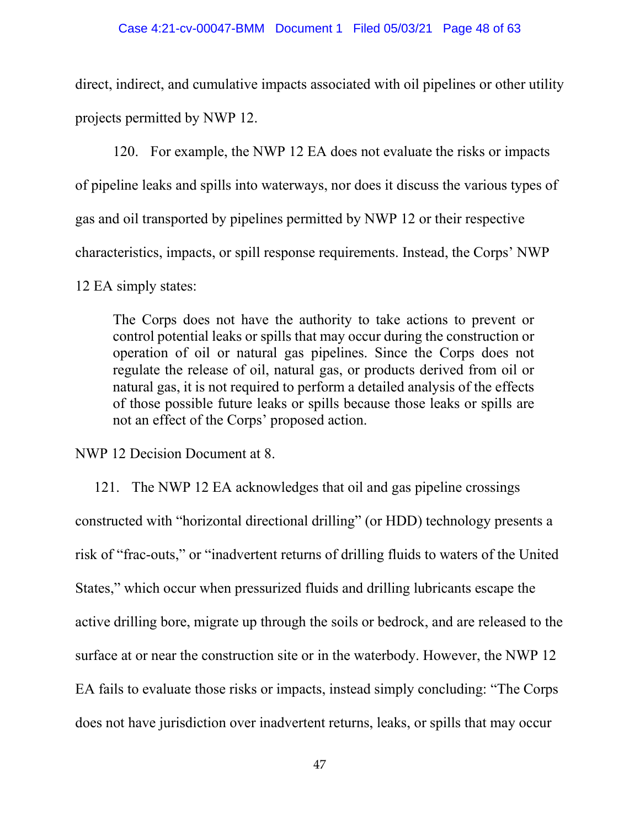direct, indirect, and cumulative impacts associated with oil pipelines or other utility projects permitted by NWP 12.

120. For example, the NWP 12 EA does not evaluate the risks or impacts of pipeline leaks and spills into waterways, nor does it discuss the various types of gas and oil transported by pipelines permitted by NWP 12 or their respective characteristics, impacts, or spill response requirements. Instead, the Corps' NWP

12 EA simply states:

The Corps does not have the authority to take actions to prevent or control potential leaks or spills that may occur during the construction or operation of oil or natural gas pipelines. Since the Corps does not regulate the release of oil, natural gas, or products derived from oil or natural gas, it is not required to perform a detailed analysis of the effects of those possible future leaks or spills because those leaks or spills are not an effect of the Corps' proposed action.

NWP 12 Decision Document at 8.

121. The NWP 12 EA acknowledges that oil and gas pipeline crossings constructed with "horizontal directional drilling" (or HDD) technology presents a risk of "frac-outs," or "inadvertent returns of drilling fluids to waters of the United States," which occur when pressurized fluids and drilling lubricants escape the active drilling bore, migrate up through the soils or bedrock, and are released to the surface at or near the construction site or in the waterbody. However, the NWP 12 EA fails to evaluate those risks or impacts, instead simply concluding: "The Corps does not have jurisdiction over inadvertent returns, leaks, or spills that may occur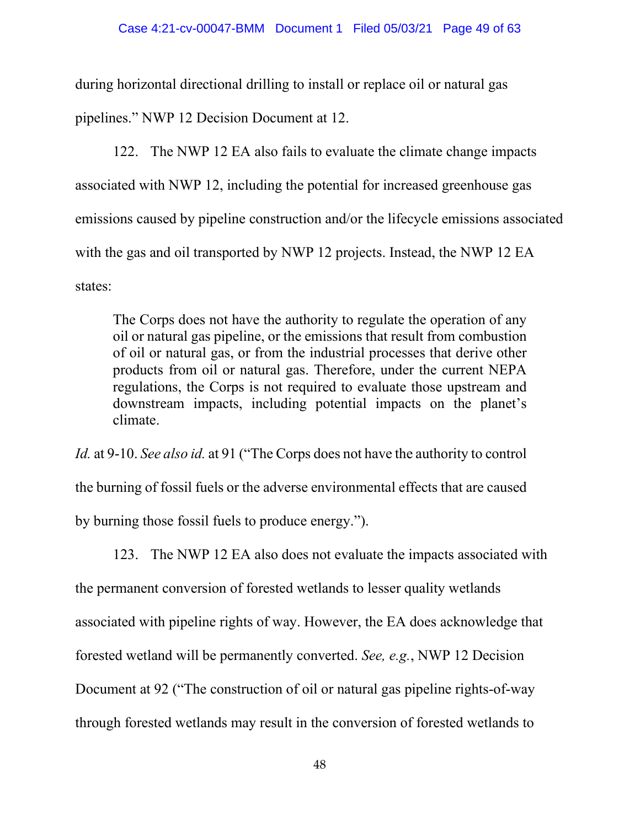during horizontal directional drilling to install or replace oil or natural gas pipelines." NWP 12 Decision Document at 12.

122. The NWP 12 EA also fails to evaluate the climate change impacts associated with NWP 12, including the potential for increased greenhouse gas emissions caused by pipeline construction and/or the lifecycle emissions associated with the gas and oil transported by NWP 12 projects. Instead, the NWP 12 EA states:

The Corps does not have the authority to regulate the operation of any oil or natural gas pipeline, or the emissions that result from combustion of oil or natural gas, or from the industrial processes that derive other products from oil or natural gas. Therefore, under the current NEPA regulations, the Corps is not required to evaluate those upstream and downstream impacts, including potential impacts on the planet's climate.

*Id.* at 9-10. *See also id.* at 91 ("The Corps does not have the authority to control the burning of fossil fuels or the adverse environmental effects that are caused by burning those fossil fuels to produce energy.").

123. The NWP 12 EA also does not evaluate the impacts associated with the permanent conversion of forested wetlands to lesser quality wetlands associated with pipeline rights of way. However, the EA does acknowledge that forested wetland will be permanently converted. *See, e.g.*, NWP 12 Decision Document at 92 ("The construction of oil or natural gas pipeline rights-of-way through forested wetlands may result in the conversion of forested wetlands to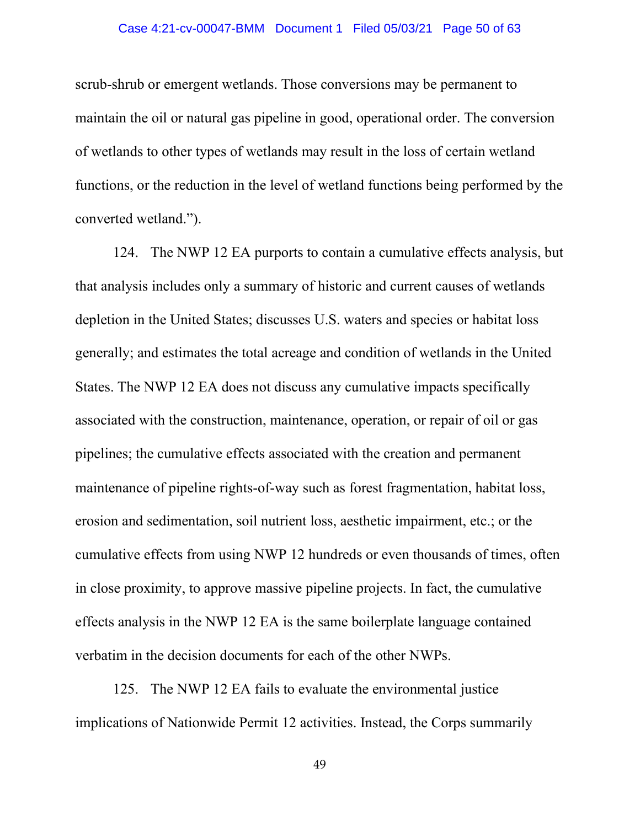#### Case 4:21-cv-00047-BMM Document 1 Filed 05/03/21 Page 50 of 63

scrub-shrub or emergent wetlands. Those conversions may be permanent to maintain the oil or natural gas pipeline in good, operational order. The conversion of wetlands to other types of wetlands may result in the loss of certain wetland functions, or the reduction in the level of wetland functions being performed by the converted wetland.").

124. The NWP 12 EA purports to contain a cumulative effects analysis, but that analysis includes only a summary of historic and current causes of wetlands depletion in the United States; discusses U.S. waters and species or habitat loss generally; and estimates the total acreage and condition of wetlands in the United States. The NWP 12 EA does not discuss any cumulative impacts specifically associated with the construction, maintenance, operation, or repair of oil or gas pipelines; the cumulative effects associated with the creation and permanent maintenance of pipeline rights-of-way such as forest fragmentation, habitat loss, erosion and sedimentation, soil nutrient loss, aesthetic impairment, etc.; or the cumulative effects from using NWP 12 hundreds or even thousands of times, often in close proximity, to approve massive pipeline projects. In fact, the cumulative effects analysis in the NWP 12 EA is the same boilerplate language contained verbatim in the decision documents for each of the other NWPs.

125. The NWP 12 EA fails to evaluate the environmental justice implications of Nationwide Permit 12 activities. Instead, the Corps summarily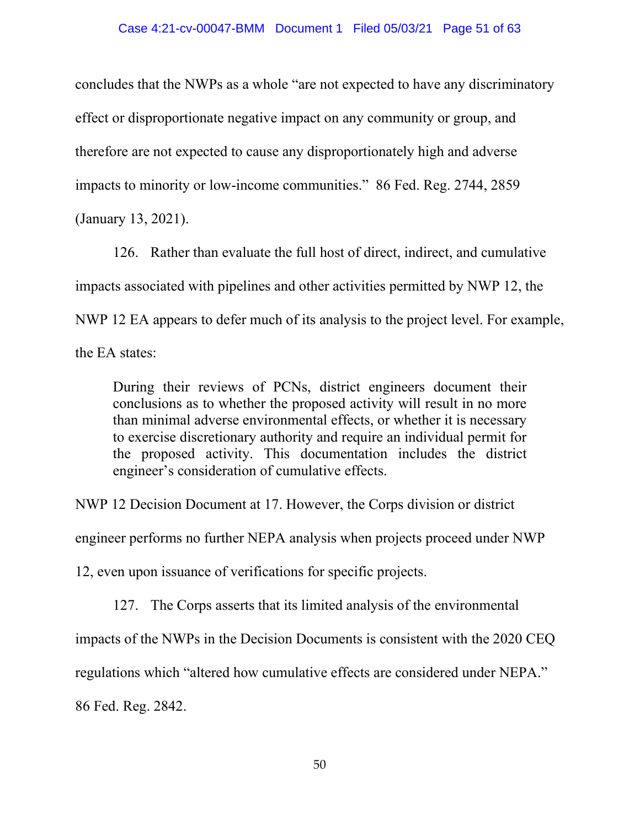concludes that the NWPs as a whole "are not expected to have any discriminatory effect or disproportionate negative impact on any community or group, and therefore are not expected to cause any disproportionately high and adverse impacts to minority or low-income communities." 86 Fed. Reg. 2744, 2859 (January 13, 2021).

126. Rather than evaluate the full host of direct, indirect, and cumulative impacts associated with pipelines and other activities permitted by NWP 12, the NWP 12 EA appears to defer much of its analysis to the project level. For example, the EA states:

During their reviews of PCNs, district engineers document their conclusions as to whether the proposed activity will result in no more than minimal adverse environmental effects, or whether it is necessary to exercise discretionary authority and require an individual permit for the proposed activity. This documentation includes the district engineer's consideration of cumulative effects.

NWP 12 Decision Document at 17. However, the Corps division or district

engineer performs no further NEPA analysis when projects proceed under NWP

12, even upon issuance of verifications for specific projects.

127. The Corps asserts that its limited analysis of the environmental

impacts of the NWPs in the Decision Documents is consistent with the 2020 CEQ

regulations which "altered how cumulative effects are considered under NEPA."

86 Fed. Reg. 2842.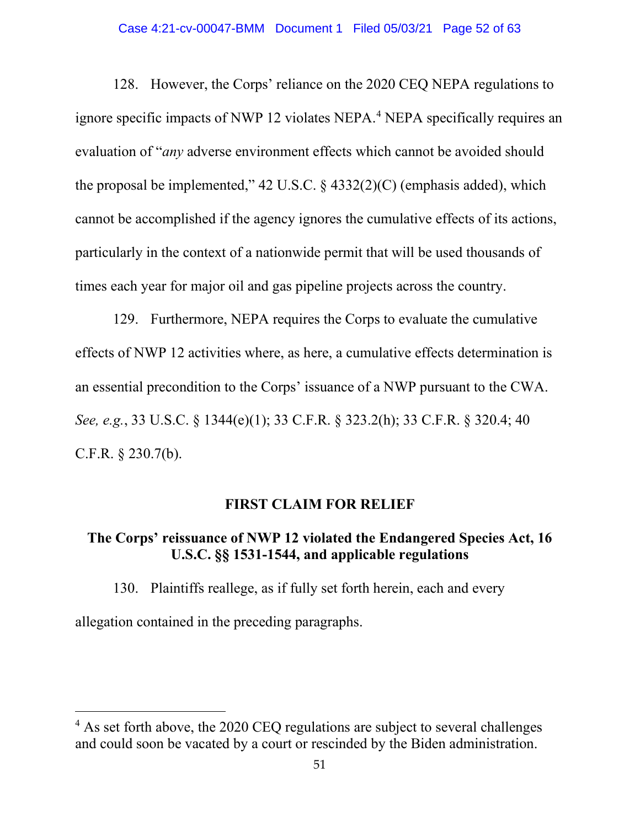#### Case 4:21-cv-00047-BMM Document 1 Filed 05/03/21 Page 52 of 63

128. However, the Corps' reliance on the 2020 CEQ NEPA regulations to ignore specific impacts of NWP 12 violates NEPA. <sup>4</sup> NEPA specifically requires an evaluation of "*any* adverse environment effects which cannot be avoided should the proposal be implemented," 42 U.S.C.  $\S$  4332(2)(C) (emphasis added), which cannot be accomplished if the agency ignores the cumulative effects of its actions, particularly in the context of a nationwide permit that will be used thousands of times each year for major oil and gas pipeline projects across the country.

129. Furthermore, NEPA requires the Corps to evaluate the cumulative effects of NWP 12 activities where, as here, a cumulative effects determination is an essential precondition to the Corps' issuance of a NWP pursuant to the CWA. *See, e.g.*, 33 U.S.C. § 1344(e)(1); 33 C.F.R. § 323.2(h); 33 C.F.R. § 320.4; 40 C.F.R. § 230.7(b).

### **FIRST CLAIM FOR RELIEF**

# **The Corps' reissuance of NWP 12 violated the Endangered Species Act, 16 U.S.C. §§ 1531-1544, and applicable regulations**

130. Plaintiffs reallege, as if fully set forth herein, each and every allegation contained in the preceding paragraphs.

<sup>&</sup>lt;sup>4</sup> As set forth above, the 2020 CEQ regulations are subject to several challenges and could soon be vacated by a court or rescinded by the Biden administration.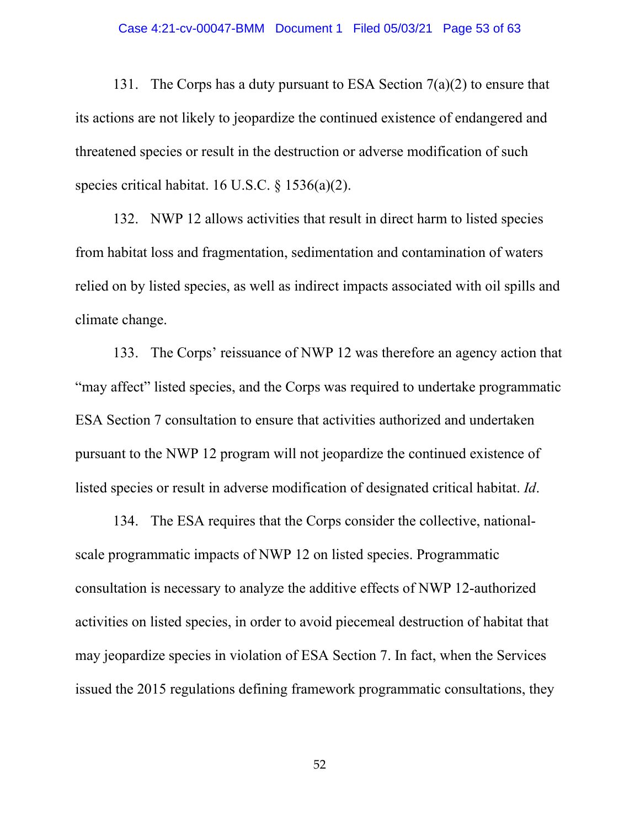#### Case 4:21-cv-00047-BMM Document 1 Filed 05/03/21 Page 53 of 63

131. The Corps has a duty pursuant to ESA Section  $7(a)(2)$  to ensure that its actions are not likely to jeopardize the continued existence of endangered and threatened species or result in the destruction or adverse modification of such species critical habitat. 16 U.S.C. § 1536(a)(2).

132. NWP 12 allows activities that result in direct harm to listed species from habitat loss and fragmentation, sedimentation and contamination of waters relied on by listed species, as well as indirect impacts associated with oil spills and climate change.

133. The Corps' reissuance of NWP 12 was therefore an agency action that "may affect" listed species, and the Corps was required to undertake programmatic ESA Section 7 consultation to ensure that activities authorized and undertaken pursuant to the NWP 12 program will not jeopardize the continued existence of listed species or result in adverse modification of designated critical habitat. *Id*.

134. The ESA requires that the Corps consider the collective, nationalscale programmatic impacts of NWP 12 on listed species. Programmatic consultation is necessary to analyze the additive effects of NWP 12-authorized activities on listed species, in order to avoid piecemeal destruction of habitat that may jeopardize species in violation of ESA Section 7. In fact, when the Services issued the 2015 regulations defining framework programmatic consultations, they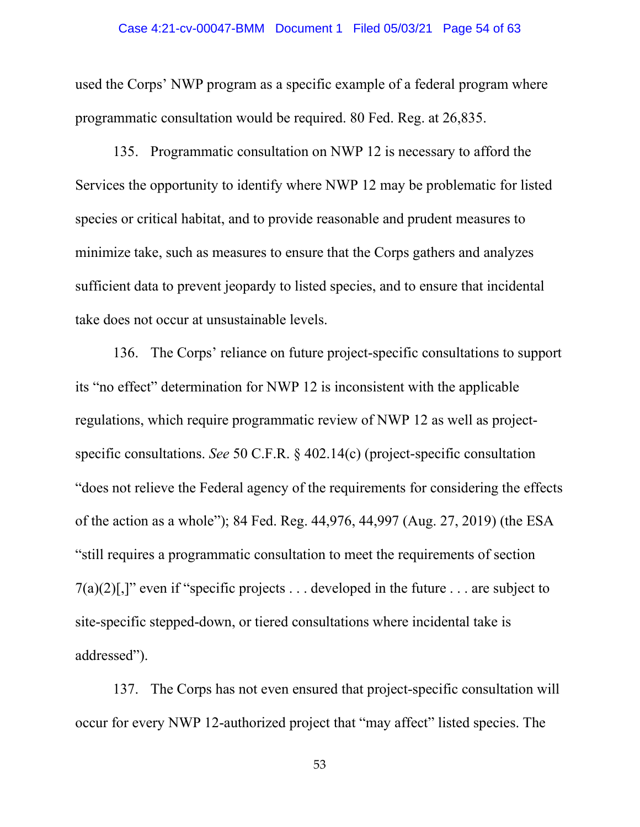#### Case 4:21-cv-00047-BMM Document 1 Filed 05/03/21 Page 54 of 63

used the Corps' NWP program as a specific example of a federal program where programmatic consultation would be required. 80 Fed. Reg. at 26,835.

135. Programmatic consultation on NWP 12 is necessary to afford the Services the opportunity to identify where NWP 12 may be problematic for listed species or critical habitat, and to provide reasonable and prudent measures to minimize take, such as measures to ensure that the Corps gathers and analyzes sufficient data to prevent jeopardy to listed species, and to ensure that incidental take does not occur at unsustainable levels.

136. The Corps' reliance on future project-specific consultations to support its "no effect" determination for NWP 12 is inconsistent with the applicable regulations, which require programmatic review of NWP 12 as well as projectspecific consultations. *See* 50 C.F.R. § 402.14(c) (project-specific consultation "does not relieve the Federal agency of the requirements for considering the effects of the action as a whole"); 84 Fed. Reg. 44,976, 44,997 (Aug. 27, 2019) (the ESA "still requires a programmatic consultation to meet the requirements of section  $7(a)(2)$ [,]" even if "specific projects ... developed in the future ... are subject to site-specific stepped-down, or tiered consultations where incidental take is addressed").

137. The Corps has not even ensured that project-specific consultation will occur for every NWP 12-authorized project that "may affect" listed species. The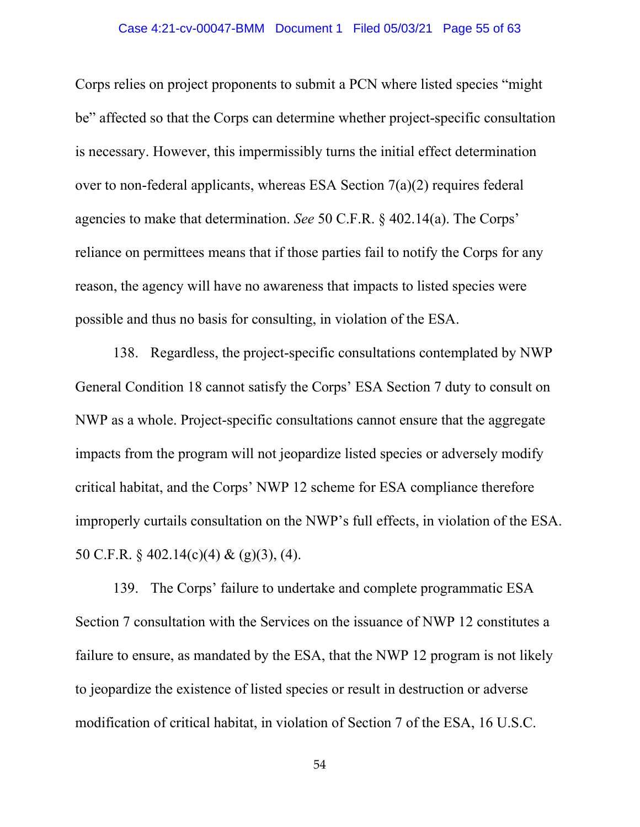#### Case 4:21-cv-00047-BMM Document 1 Filed 05/03/21 Page 55 of 63

Corps relies on project proponents to submit a PCN where listed species "might be" affected so that the Corps can determine whether project-specific consultation is necessary. However, this impermissibly turns the initial effect determination over to non-federal applicants, whereas ESA Section 7(a)(2) requires federal agencies to make that determination. *See* 50 C.F.R. § 402.14(a). The Corps' reliance on permittees means that if those parties fail to notify the Corps for any reason, the agency will have no awareness that impacts to listed species were possible and thus no basis for consulting, in violation of the ESA.

138. Regardless, the project-specific consultations contemplated by NWP General Condition 18 cannot satisfy the Corps' ESA Section 7 duty to consult on NWP as a whole. Project-specific consultations cannot ensure that the aggregate impacts from the program will not jeopardize listed species or adversely modify critical habitat, and the Corps' NWP 12 scheme for ESA compliance therefore improperly curtails consultation on the NWP's full effects, in violation of the ESA. 50 C.F.R. § 402.14(c)(4) & (g)(3), (4).

139. The Corps' failure to undertake and complete programmatic ESA Section 7 consultation with the Services on the issuance of NWP 12 constitutes a failure to ensure, as mandated by the ESA, that the NWP 12 program is not likely to jeopardize the existence of listed species or result in destruction or adverse modification of critical habitat, in violation of Section 7 of the ESA, 16 U.S.C.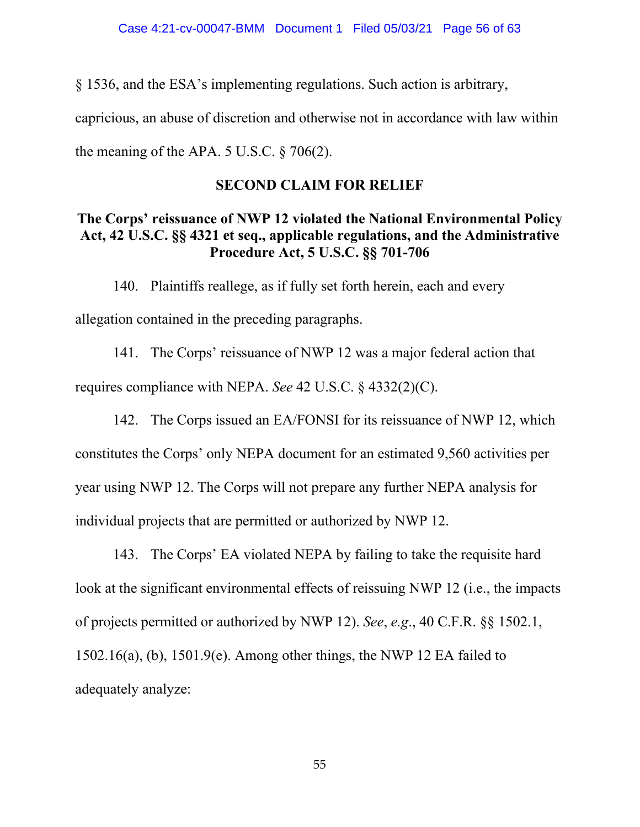§ 1536, and the ESA's implementing regulations. Such action is arbitrary,

capricious, an abuse of discretion and otherwise not in accordance with law within

the meaning of the APA.  $5$  U.S.C.  $\frac{6}{5}$  706(2).

### **SECOND CLAIM FOR RELIEF**

# **The Corps' reissuance of NWP 12 violated the National Environmental Policy Act, 42 U.S.C. §§ 4321 et seq., applicable regulations, and the Administrative Procedure Act, 5 U.S.C. §§ 701-706**

140. Plaintiffs reallege, as if fully set forth herein, each and every allegation contained in the preceding paragraphs.

141. The Corps' reissuance of NWP 12 was a major federal action that requires compliance with NEPA. *See* 42 U.S.C. § 4332(2)(C).

142. The Corps issued an EA/FONSI for its reissuance of NWP 12, which constitutes the Corps' only NEPA document for an estimated 9,560 activities per year using NWP 12. The Corps will not prepare any further NEPA analysis for individual projects that are permitted or authorized by NWP 12.

143. The Corps' EA violated NEPA by failing to take the requisite hard look at the significant environmental effects of reissuing NWP 12 (i.e., the impacts of projects permitted or authorized by NWP 12). *See*, *e.g*., 40 C.F.R. §§ 1502.1, 1502.16(a), (b), 1501.9(e). Among other things, the NWP 12 EA failed to adequately analyze: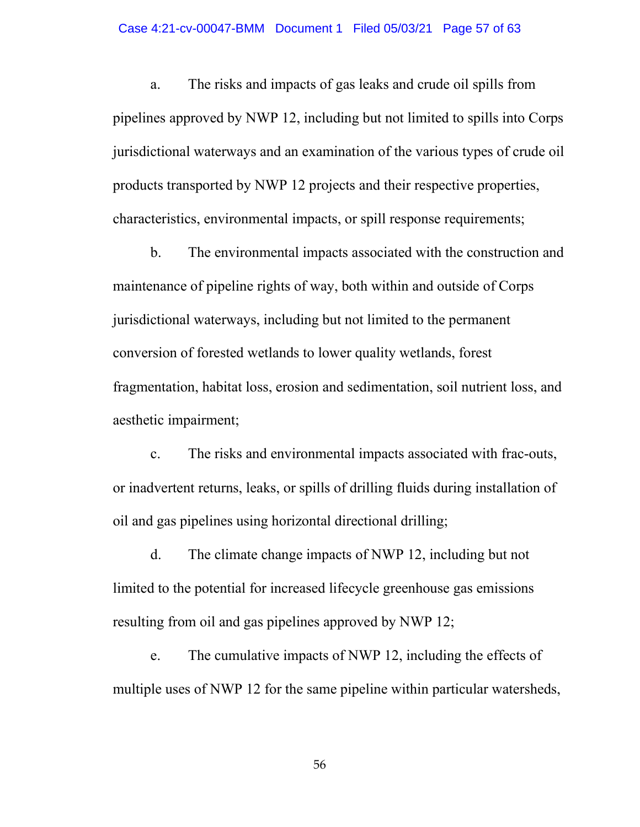#### Case 4:21-cv-00047-BMM Document 1 Filed 05/03/21 Page 57 of 63

a. The risks and impacts of gas leaks and crude oil spills from pipelines approved by NWP 12, including but not limited to spills into Corps jurisdictional waterways and an examination of the various types of crude oil products transported by NWP 12 projects and their respective properties, characteristics, environmental impacts, or spill response requirements;

b. The environmental impacts associated with the construction and maintenance of pipeline rights of way, both within and outside of Corps jurisdictional waterways, including but not limited to the permanent conversion of forested wetlands to lower quality wetlands, forest fragmentation, habitat loss, erosion and sedimentation, soil nutrient loss, and aesthetic impairment;

c. The risks and environmental impacts associated with frac-outs, or inadvertent returns, leaks, or spills of drilling fluids during installation of oil and gas pipelines using horizontal directional drilling;

d. The climate change impacts of NWP 12, including but not limited to the potential for increased lifecycle greenhouse gas emissions resulting from oil and gas pipelines approved by NWP 12;

e. The cumulative impacts of NWP 12, including the effects of multiple uses of NWP 12 for the same pipeline within particular watersheds,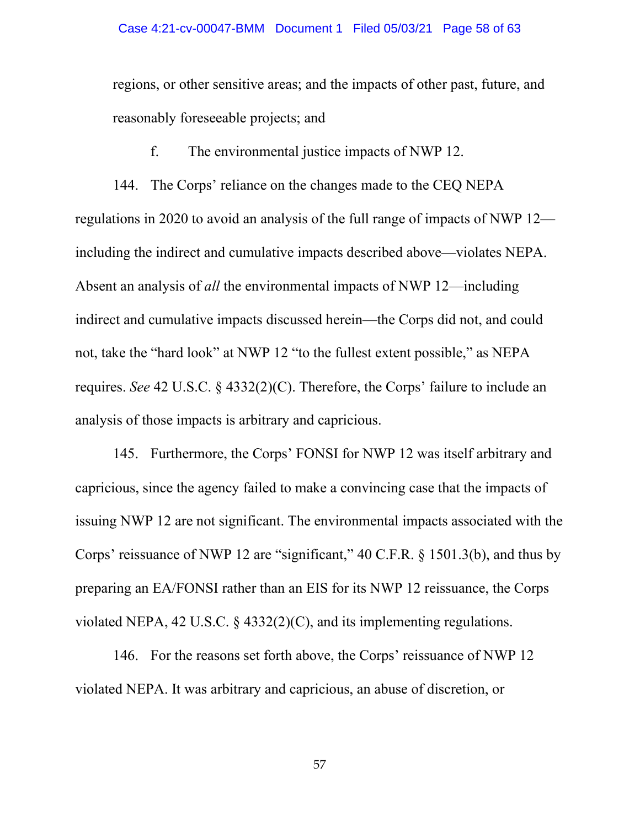regions, or other sensitive areas; and the impacts of other past, future, and reasonably foreseeable projects; and

f. The environmental justice impacts of NWP 12.

144. The Corps' reliance on the changes made to the CEQ NEPA regulations in 2020 to avoid an analysis of the full range of impacts of NWP 12 including the indirect and cumulative impacts described above—violates NEPA. Absent an analysis of *all* the environmental impacts of NWP 12—including indirect and cumulative impacts discussed herein—the Corps did not, and could not, take the "hard look" at NWP 12 "to the fullest extent possible," as NEPA requires. *See* 42 U.S.C. § 4332(2)(C). Therefore, the Corps' failure to include an analysis of those impacts is arbitrary and capricious.

145. Furthermore, the Corps' FONSI for NWP 12 was itself arbitrary and capricious, since the agency failed to make a convincing case that the impacts of issuing NWP 12 are not significant. The environmental impacts associated with the Corps' reissuance of NWP 12 are "significant," 40 C.F.R. § 1501.3(b), and thus by preparing an EA/FONSI rather than an EIS for its NWP 12 reissuance, the Corps violated NEPA, 42 U.S.C. § 4332(2)(C), and its implementing regulations.

146. For the reasons set forth above, the Corps' reissuance of NWP 12 violated NEPA. It was arbitrary and capricious, an abuse of discretion, or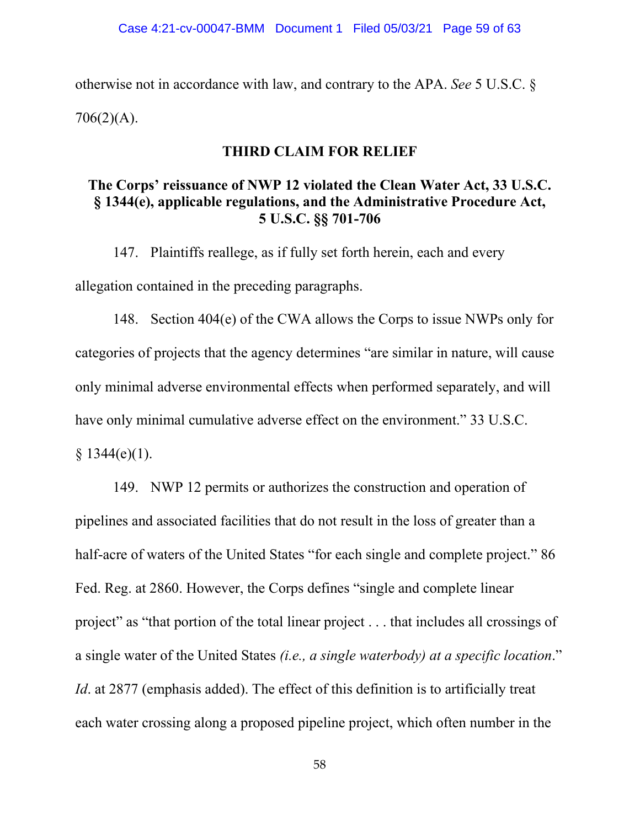otherwise not in accordance with law, and contrary to the APA. *See* 5 U.S.C. §  $706(2)(A)$ .

### **THIRD CLAIM FOR RELIEF**

# **The Corps' reissuance of NWP 12 violated the Clean Water Act, 33 U.S.C. § 1344(e), applicable regulations, and the Administrative Procedure Act, 5 U.S.C. §§ 701-706**

147. Plaintiffs reallege, as if fully set forth herein, each and every allegation contained in the preceding paragraphs.

148. Section 404(e) of the CWA allows the Corps to issue NWPs only for categories of projects that the agency determines "are similar in nature, will cause only minimal adverse environmental effects when performed separately, and will have only minimal cumulative adverse effect on the environment." 33 U.S.C.  $§ 1344(e)(1).$ 

149. NWP 12 permits or authorizes the construction and operation of pipelines and associated facilities that do not result in the loss of greater than a half-acre of waters of the United States "for each single and complete project." 86 Fed. Reg. at 2860. However, the Corps defines "single and complete linear project" as "that portion of the total linear project . . . that includes all crossings of a single water of the United States *(i.e., a single waterbody) at a specific location*." *Id*. at 2877 (emphasis added). The effect of this definition is to artificially treat each water crossing along a proposed pipeline project, which often number in the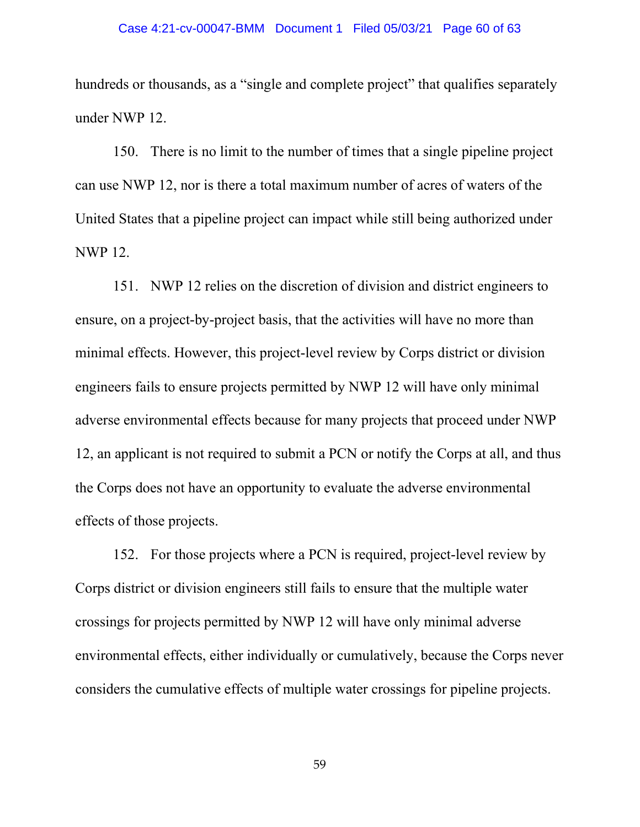hundreds or thousands, as a "single and complete project" that qualifies separately under NWP 12.

150. There is no limit to the number of times that a single pipeline project can use NWP 12, nor is there a total maximum number of acres of waters of the United States that a pipeline project can impact while still being authorized under NWP 12.

151. NWP 12 relies on the discretion of division and district engineers to ensure, on a project-by-project basis, that the activities will have no more than minimal effects. However, this project-level review by Corps district or division engineers fails to ensure projects permitted by NWP 12 will have only minimal adverse environmental effects because for many projects that proceed under NWP 12, an applicant is not required to submit a PCN or notify the Corps at all, and thus the Corps does not have an opportunity to evaluate the adverse environmental effects of those projects.

152. For those projects where a PCN is required, project-level review by Corps district or division engineers still fails to ensure that the multiple water crossings for projects permitted by NWP 12 will have only minimal adverse environmental effects, either individually or cumulatively, because the Corps never considers the cumulative effects of multiple water crossings for pipeline projects.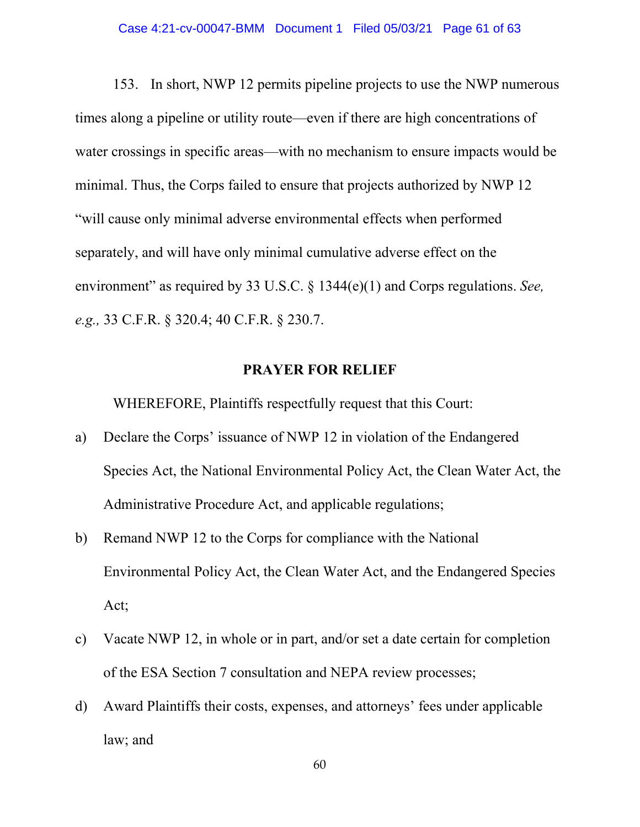153. In short, NWP 12 permits pipeline projects to use the NWP numerous times along a pipeline or utility route—even if there are high concentrations of water crossings in specific areas—with no mechanism to ensure impacts would be minimal. Thus, the Corps failed to ensure that projects authorized by NWP 12 "will cause only minimal adverse environmental effects when performed separately, and will have only minimal cumulative adverse effect on the environment" as required by 33 U.S.C. § 1344(e)(1) and Corps regulations. *See, e.g.,* 33 C.F.R. § 320.4; 40 C.F.R. § 230.7.

### **PRAYER FOR RELIEF**

WHEREFORE, Plaintiffs respectfully request that this Court:

- a) Declare the Corps' issuance of NWP 12 in violation of the Endangered Species Act, the National Environmental Policy Act, the Clean Water Act, the Administrative Procedure Act, and applicable regulations;
- b) Remand NWP 12 to the Corps for compliance with the National Environmental Policy Act, the Clean Water Act, and the Endangered Species Act;
- c) Vacate NWP 12, in whole or in part, and/or set a date certain for completion of the ESA Section 7 consultation and NEPA review processes;
- d) Award Plaintiffs their costs, expenses, and attorneys' fees under applicable law; and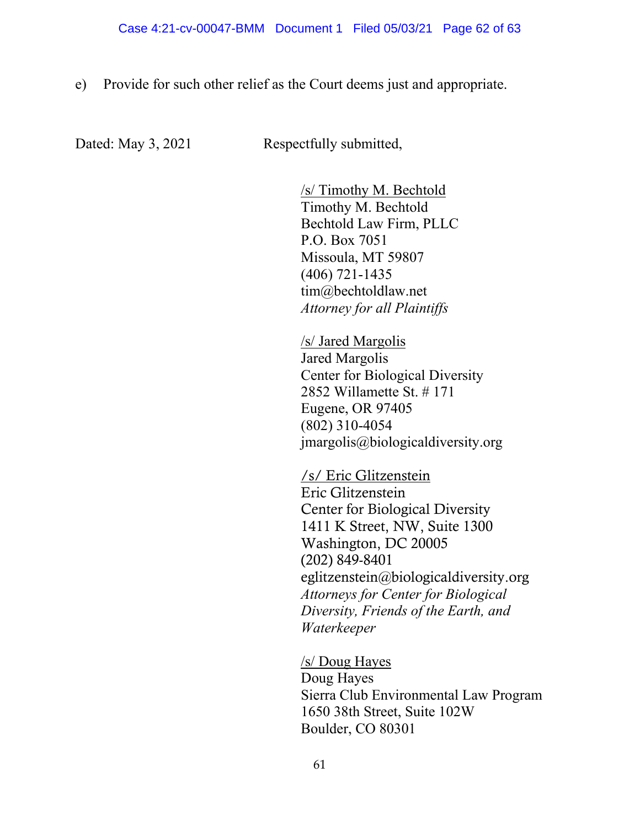e) Provide for such other relief as the Court deems just and appropriate.

Dated: May 3, 2021 Respectfully submitted,

/s/ Timothy M. Bechtold Timothy M. Bechtold Bechtold Law Firm, PLLC P.O. Box 7051 Missoula, MT 59807 (406) 721-1435 tim@bechtoldlaw.net *Attorney for all Plaintiffs*

/s/ Jared Margolis Jared Margolis Center for Biological Diversity 2852 Willamette St. # 171 Eugene, OR 97405 (802) 310-4054 jmargolis@biologicaldiversity.org

/s/ Eric Glitzenstein Eric Glitzenstein Center for Biological Diversity 1411 K Street, NW, Suite 1300 Washington, DC 20005 (202) 849-8401 eglitzenstein@biologicaldiversity.org *Attorneys for Center for Biological Diversity, Friends of the Earth, and Waterkeeper*

/s/ Doug Hayes Doug Hayes Sierra Club Environmental Law Program 1650 38th Street, Suite 102W Boulder, CO 80301